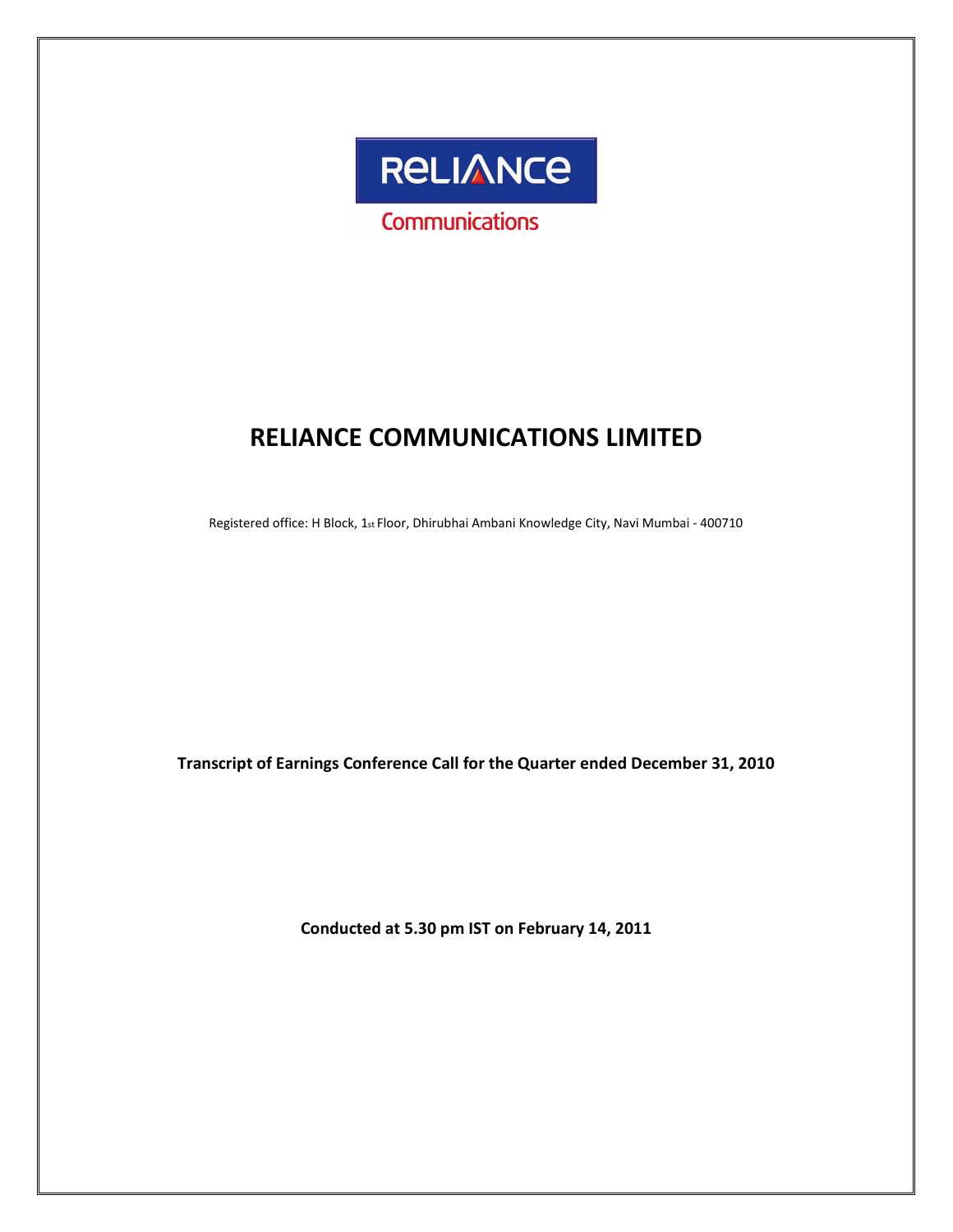

# RELIANCE COMMUNICATIONS LIMITED

Registered office: H Block, 1st Floor, Dhirubhai Ambani Knowledge City, Navi Mumbai - 400710

Transcript of Earnings Conference Call for the Quarter ended December 31, 2010

Conducted at 5.30 pm IST on February 14, 2011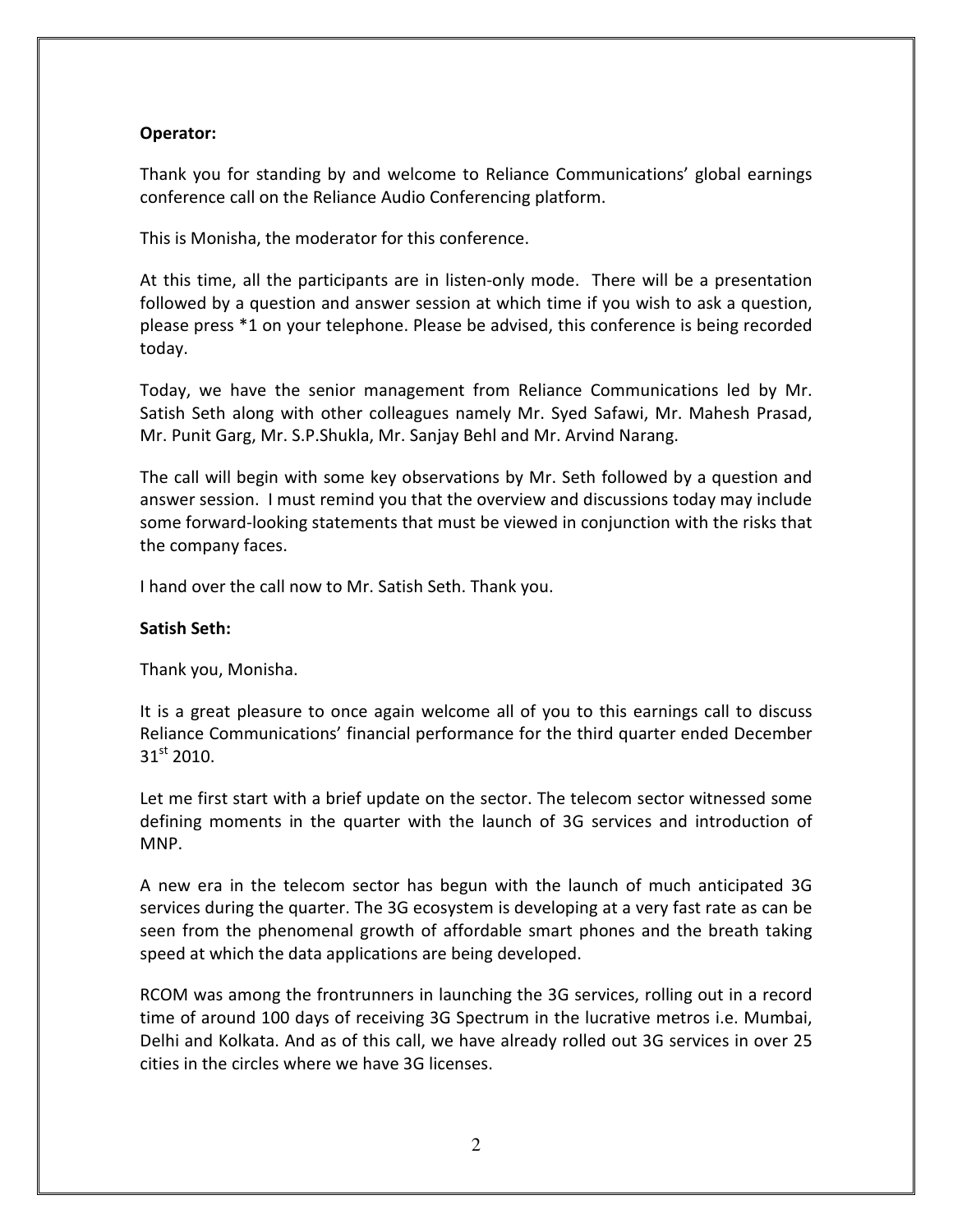# Operator:

Thank you for standing by and welcome to Reliance Communications' global earnings conference call on the Reliance Audio Conferencing platform.

This is Monisha, the moderator for this conference.

At this time, all the participants are in listen-only mode. There will be a presentation followed by a question and answer session at which time if you wish to ask a question, please press \*1 on your telephone. Please be advised, this conference is being recorded today.

Today, we have the senior management from Reliance Communications led by Mr. Satish Seth along with other colleagues namely Mr. Syed Safawi, Mr. Mahesh Prasad, Mr. Punit Garg, Mr. S.P.Shukla, Mr. Sanjay Behl and Mr. Arvind Narang.

The call will begin with some key observations by Mr. Seth followed by a question and answer session. I must remind you that the overview and discussions today may include some forward-looking statements that must be viewed in conjunction with the risks that the company faces.

I hand over the call now to Mr. Satish Seth. Thank you.

#### Satish Seth:

Thank you, Monisha.

It is a great pleasure to once again welcome all of you to this earnings call to discuss Reliance Communications' financial performance for the third quarter ended December  $31<sup>st</sup>$  2010.

Let me first start with a brief update on the sector. The telecom sector witnessed some defining moments in the quarter with the launch of 3G services and introduction of MNP.

A new era in the telecom sector has begun with the launch of much anticipated 3G services during the quarter. The 3G ecosystem is developing at a very fast rate as can be seen from the phenomenal growth of affordable smart phones and the breath taking speed at which the data applications are being developed.

RCOM was among the frontrunners in launching the 3G services, rolling out in a record time of around 100 days of receiving 3G Spectrum in the lucrative metros i.e. Mumbai, Delhi and Kolkata. And as of this call, we have already rolled out 3G services in over 25 cities in the circles where we have 3G licenses.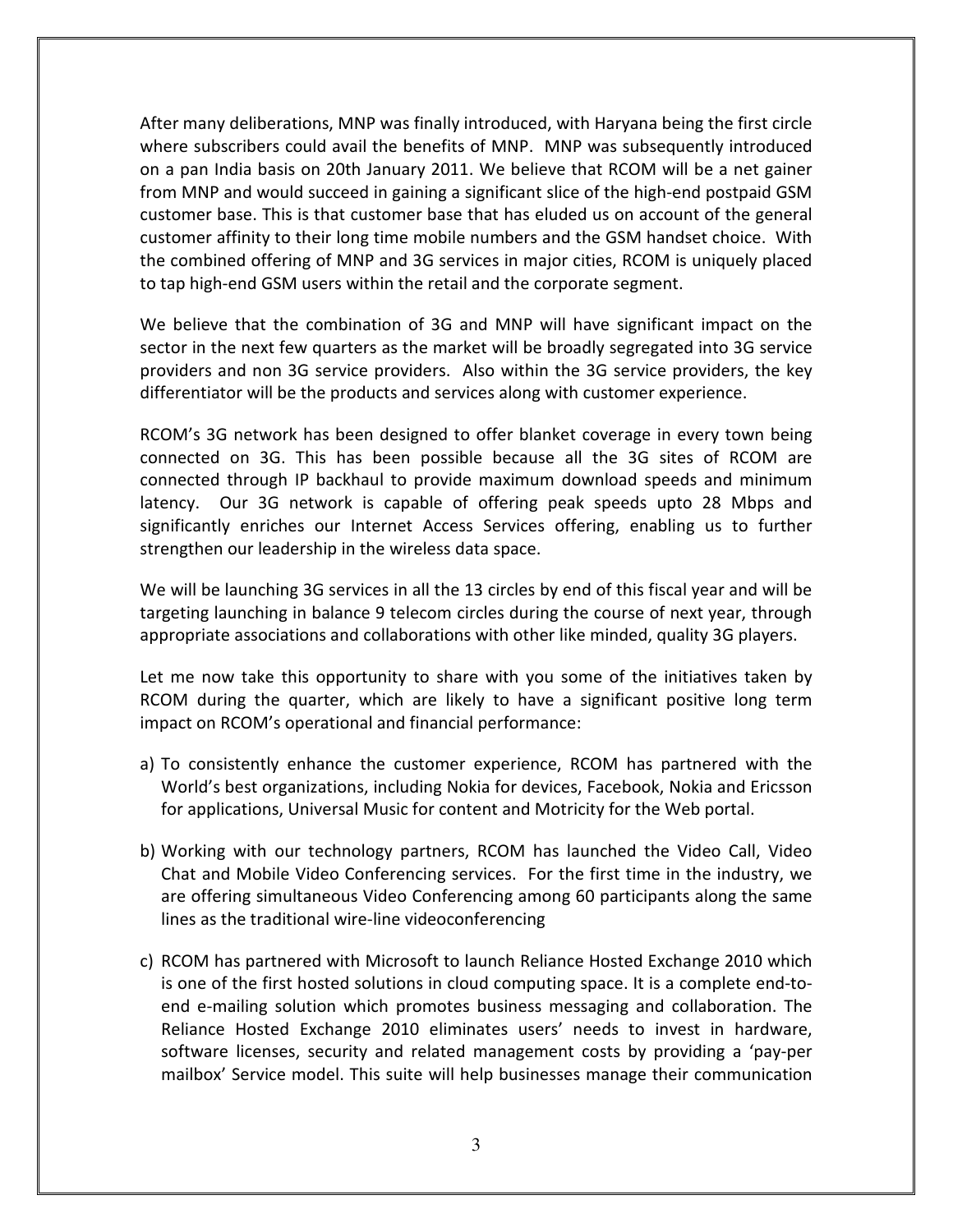After many deliberations, MNP was finally introduced, with Haryana being the first circle where subscribers could avail the benefits of MNP. MNP was subsequently introduced on a pan India basis on 20th January 2011. We believe that RCOM will be a net gainer from MNP and would succeed in gaining a significant slice of the high-end postpaid GSM customer base. This is that customer base that has eluded us on account of the general customer affinity to their long time mobile numbers and the GSM handset choice. With the combined offering of MNP and 3G services in major cities, RCOM is uniquely placed to tap high-end GSM users within the retail and the corporate segment.

We believe that the combination of 3G and MNP will have significant impact on the sector in the next few quarters as the market will be broadly segregated into 3G service providers and non 3G service providers. Also within the 3G service providers, the key differentiator will be the products and services along with customer experience.

RCOM's 3G network has been designed to offer blanket coverage in every town being connected on 3G. This has been possible because all the 3G sites of RCOM are connected through IP backhaul to provide maximum download speeds and minimum latency. Our 3G network is capable of offering peak speeds upto 28 Mbps and significantly enriches our Internet Access Services offering, enabling us to further strengthen our leadership in the wireless data space.

We will be launching 3G services in all the 13 circles by end of this fiscal year and will be targeting launching in balance 9 telecom circles during the course of next year, through appropriate associations and collaborations with other like minded, quality 3G players.

Let me now take this opportunity to share with you some of the initiatives taken by RCOM during the quarter, which are likely to have a significant positive long term impact on RCOM's operational and financial performance:

- a) To consistently enhance the customer experience, RCOM has partnered with the World's best organizations, including Nokia for devices, Facebook, Nokia and Ericsson for applications, Universal Music for content and Motricity for the Web portal.
- b) Working with our technology partners, RCOM has launched the Video Call, Video Chat and Mobile Video Conferencing services. For the first time in the industry, we are offering simultaneous Video Conferencing among 60 participants along the same lines as the traditional wire-line videoconferencing
- c) RCOM has partnered with Microsoft to launch Reliance Hosted Exchange 2010 which is one of the first hosted solutions in cloud computing space. It is a complete end-toend e-mailing solution which promotes business messaging and collaboration. The Reliance Hosted Exchange 2010 eliminates users' needs to invest in hardware, software licenses, security and related management costs by providing a 'pay-per mailbox' Service model. This suite will help businesses manage their communication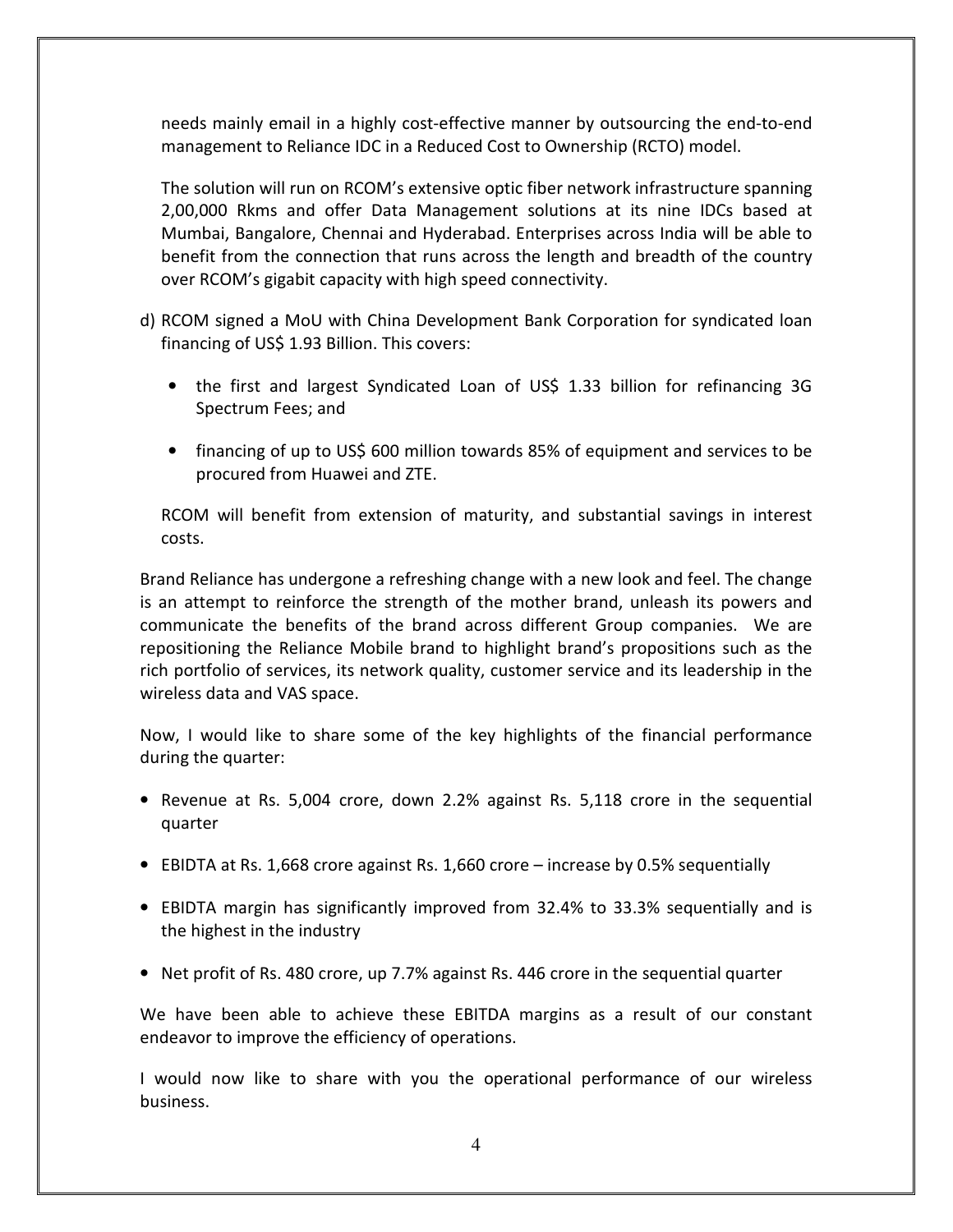needs mainly email in a highly cost-effective manner by outsourcing the end-to-end management to Reliance IDC in a Reduced Cost to Ownership (RCTO) model.

The solution will run on RCOM's extensive optic fiber network infrastructure spanning 2,00,000 Rkms and offer Data Management solutions at its nine IDCs based at Mumbai, Bangalore, Chennai and Hyderabad. Enterprises across India will be able to benefit from the connection that runs across the length and breadth of the country over RCOM's gigabit capacity with high speed connectivity.

- d) RCOM signed a MoU with China Development Bank Corporation for syndicated loan financing of US\$ 1.93 Billion. This covers:
	- the first and largest Syndicated Loan of US\$ 1.33 billion for refinancing 3G Spectrum Fees; and
	- financing of up to US\$ 600 million towards 85% of equipment and services to be procured from Huawei and ZTE.

RCOM will benefit from extension of maturity, and substantial savings in interest costs.

Brand Reliance has undergone a refreshing change with a new look and feel. The change is an attempt to reinforce the strength of the mother brand, unleash its powers and communicate the benefits of the brand across different Group companies. We are repositioning the Reliance Mobile brand to highlight brand's propositions such as the rich portfolio of services, its network quality, customer service and its leadership in the wireless data and VAS space.

Now, I would like to share some of the key highlights of the financial performance during the quarter:

- Revenue at Rs. 5,004 crore, down 2.2% against Rs. 5,118 crore in the sequential quarter
- EBIDTA at Rs. 1,668 crore against Rs. 1,660 crore increase by 0.5% sequentially
- EBIDTA margin has significantly improved from 32.4% to 33.3% sequentially and is the highest in the industry
- Net profit of Rs. 480 crore, up 7.7% against Rs. 446 crore in the sequential quarter

We have been able to achieve these EBITDA margins as a result of our constant endeavor to improve the efficiency of operations.

I would now like to share with you the operational performance of our wireless business.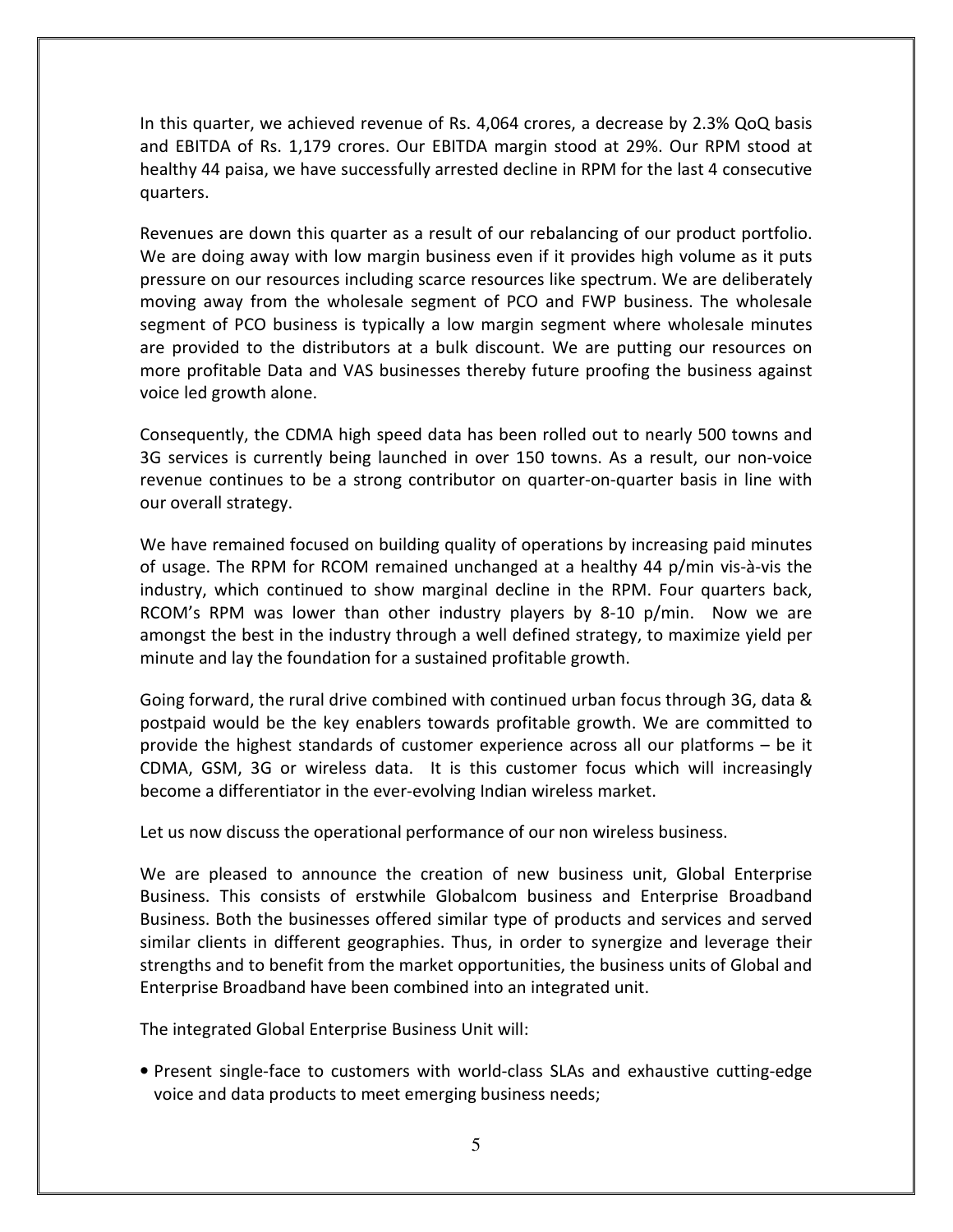In this quarter, we achieved revenue of Rs. 4,064 crores, a decrease by 2.3% QoQ basis and EBITDA of Rs. 1,179 crores. Our EBITDA margin stood at 29%. Our RPM stood at healthy 44 paisa, we have successfully arrested decline in RPM for the last 4 consecutive quarters.

Revenues are down this quarter as a result of our rebalancing of our product portfolio. We are doing away with low margin business even if it provides high volume as it puts pressure on our resources including scarce resources like spectrum. We are deliberately moving away from the wholesale segment of PCO and FWP business. The wholesale segment of PCO business is typically a low margin segment where wholesale minutes are provided to the distributors at a bulk discount. We are putting our resources on more profitable Data and VAS businesses thereby future proofing the business against voice led growth alone.

Consequently, the CDMA high speed data has been rolled out to nearly 500 towns and 3G services is currently being launched in over 150 towns. As a result, our non-voice revenue continues to be a strong contributor on quarter-on-quarter basis in line with our overall strategy.

We have remained focused on building quality of operations by increasing paid minutes of usage. The RPM for RCOM remained unchanged at a healthy 44 p/min vis-à-vis the industry, which continued to show marginal decline in the RPM. Four quarters back, RCOM's RPM was lower than other industry players by 8-10 p/min. Now we are amongst the best in the industry through a well defined strategy, to maximize yield per minute and lay the foundation for a sustained profitable growth.

Going forward, the rural drive combined with continued urban focus through 3G, data & postpaid would be the key enablers towards profitable growth. We are committed to provide the highest standards of customer experience across all our platforms – be it CDMA, GSM, 3G or wireless data. It is this customer focus which will increasingly become a differentiator in the ever-evolving Indian wireless market.

Let us now discuss the operational performance of our non wireless business.

We are pleased to announce the creation of new business unit, Global Enterprise Business. This consists of erstwhile Globalcom business and Enterprise Broadband Business. Both the businesses offered similar type of products and services and served similar clients in different geographies. Thus, in order to synergize and leverage their strengths and to benefit from the market opportunities, the business units of Global and Enterprise Broadband have been combined into an integrated unit.

The integrated Global Enterprise Business Unit will:

• Present single-face to customers with world-class SLAs and exhaustive cutting-edge voice and data products to meet emerging business needs;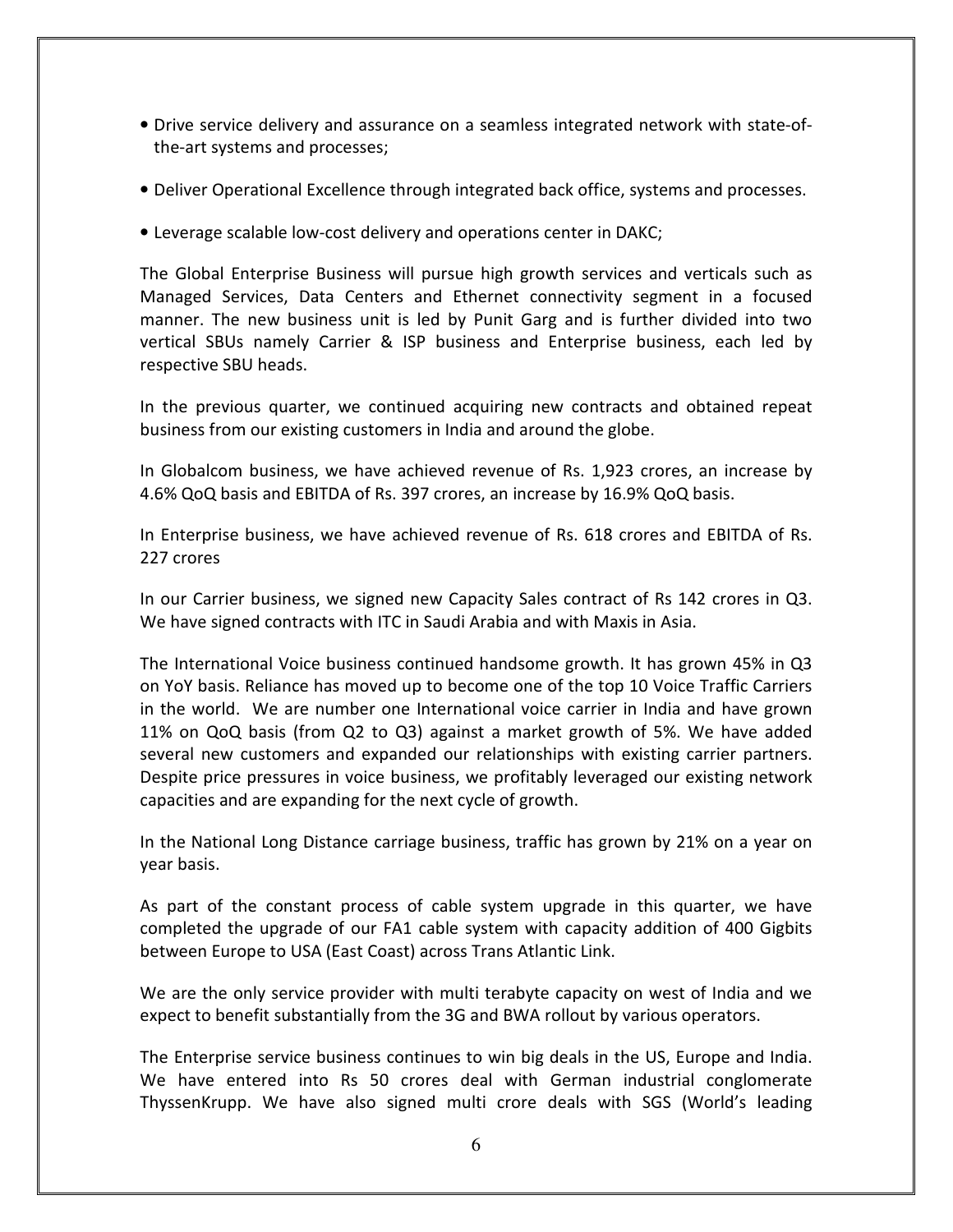- Drive service delivery and assurance on a seamless integrated network with state-ofthe-art systems and processes;
- Deliver Operational Excellence through integrated back office, systems and processes.
- Leverage scalable low-cost delivery and operations center in DAKC;

The Global Enterprise Business will pursue high growth services and verticals such as Managed Services, Data Centers and Ethernet connectivity segment in a focused manner. The new business unit is led by Punit Garg and is further divided into two vertical SBUs namely Carrier & ISP business and Enterprise business, each led by respective SBU heads.

In the previous quarter, we continued acquiring new contracts and obtained repeat business from our existing customers in India and around the globe.

In Globalcom business, we have achieved revenue of Rs. 1,923 crores, an increase by 4.6% QoQ basis and EBITDA of Rs. 397 crores, an increase by 16.9% QoQ basis.

In Enterprise business, we have achieved revenue of Rs. 618 crores and EBITDA of Rs. 227 crores

In our Carrier business, we signed new Capacity Sales contract of Rs 142 crores in Q3. We have signed contracts with ITC in Saudi Arabia and with Maxis in Asia.

The International Voice business continued handsome growth. It has grown 45% in Q3 on YoY basis. Reliance has moved up to become one of the top 10 Voice Traffic Carriers in the world. We are number one International voice carrier in India and have grown 11% on QoQ basis (from Q2 to Q3) against a market growth of 5%. We have added several new customers and expanded our relationships with existing carrier partners. Despite price pressures in voice business, we profitably leveraged our existing network capacities and are expanding for the next cycle of growth.

In the National Long Distance carriage business, traffic has grown by 21% on a year on year basis.

As part of the constant process of cable system upgrade in this quarter, we have completed the upgrade of our FA1 cable system with capacity addition of 400 Gigbits between Europe to USA (East Coast) across Trans Atlantic Link.

We are the only service provider with multi terabyte capacity on west of India and we expect to benefit substantially from the 3G and BWA rollout by various operators.

The Enterprise service business continues to win big deals in the US, Europe and India. We have entered into Rs 50 crores deal with German industrial conglomerate ThyssenKrupp. We have also signed multi crore deals with SGS (World's leading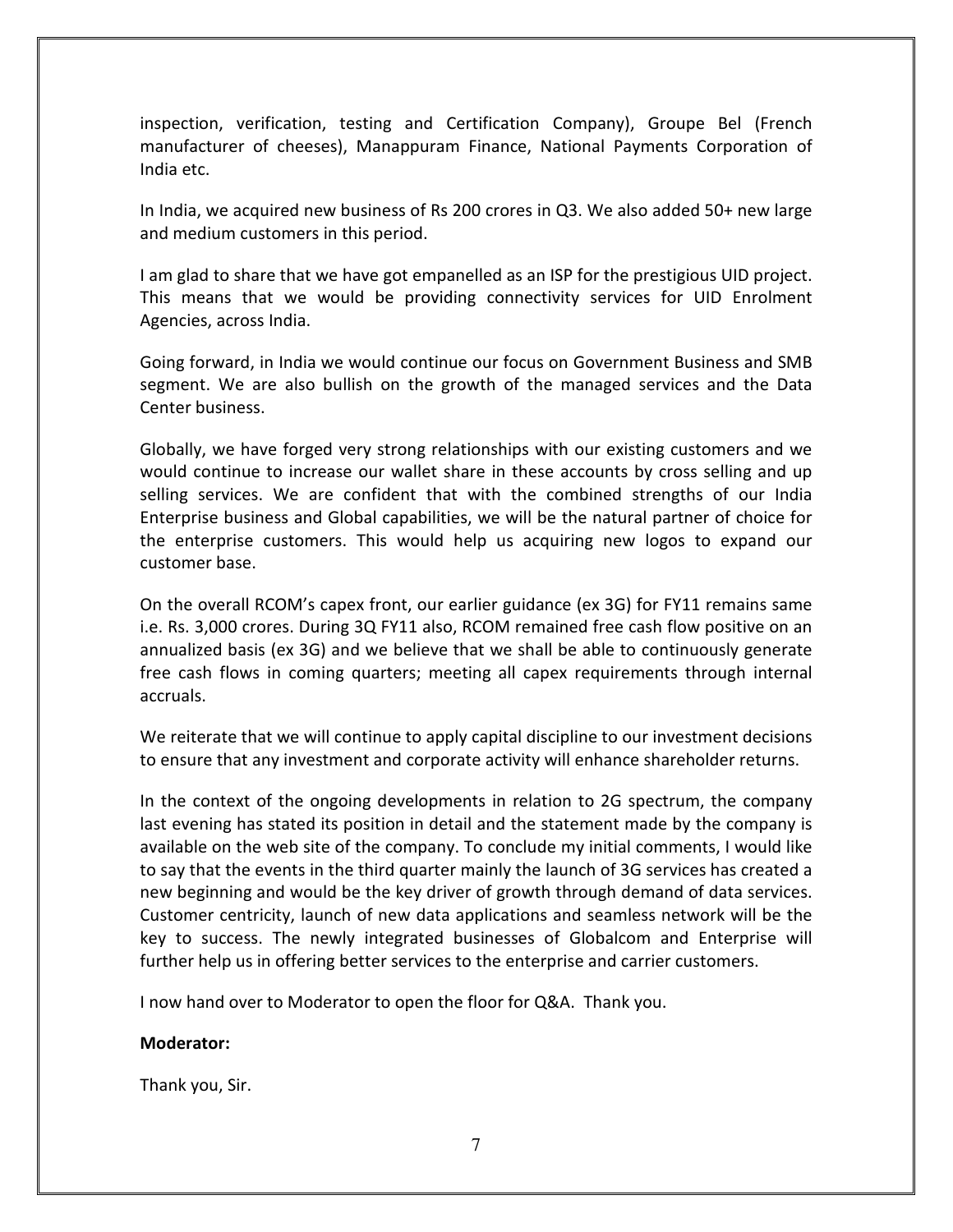inspection, verification, testing and Certification Company), Groupe Bel (French manufacturer of cheeses), Manappuram Finance, National Payments Corporation of India etc.

In India, we acquired new business of Rs 200 crores in Q3. We also added 50+ new large and medium customers in this period.

I am glad to share that we have got empanelled as an ISP for the prestigious UID project. This means that we would be providing connectivity services for UID Enrolment Agencies, across India.

Going forward, in India we would continue our focus on Government Business and SMB segment. We are also bullish on the growth of the managed services and the Data Center business.

Globally, we have forged very strong relationships with our existing customers and we would continue to increase our wallet share in these accounts by cross selling and up selling services. We are confident that with the combined strengths of our India Enterprise business and Global capabilities, we will be the natural partner of choice for the enterprise customers. This would help us acquiring new logos to expand our customer base.

On the overall RCOM's capex front, our earlier guidance (ex 3G) for FY11 remains same i.e. Rs. 3,000 crores. During 3Q FY11 also, RCOM remained free cash flow positive on an annualized basis (ex 3G) and we believe that we shall be able to continuously generate free cash flows in coming quarters; meeting all capex requirements through internal accruals.

We reiterate that we will continue to apply capital discipline to our investment decisions to ensure that any investment and corporate activity will enhance shareholder returns.

In the context of the ongoing developments in relation to 2G spectrum, the company last evening has stated its position in detail and the statement made by the company is available on the web site of the company. To conclude my initial comments, I would like to say that the events in the third quarter mainly the launch of 3G services has created a new beginning and would be the key driver of growth through demand of data services. Customer centricity, launch of new data applications and seamless network will be the key to success. The newly integrated businesses of Globalcom and Enterprise will further help us in offering better services to the enterprise and carrier customers.

I now hand over to Moderator to open the floor for Q&A. Thank you.

#### Moderator:

Thank you, Sir.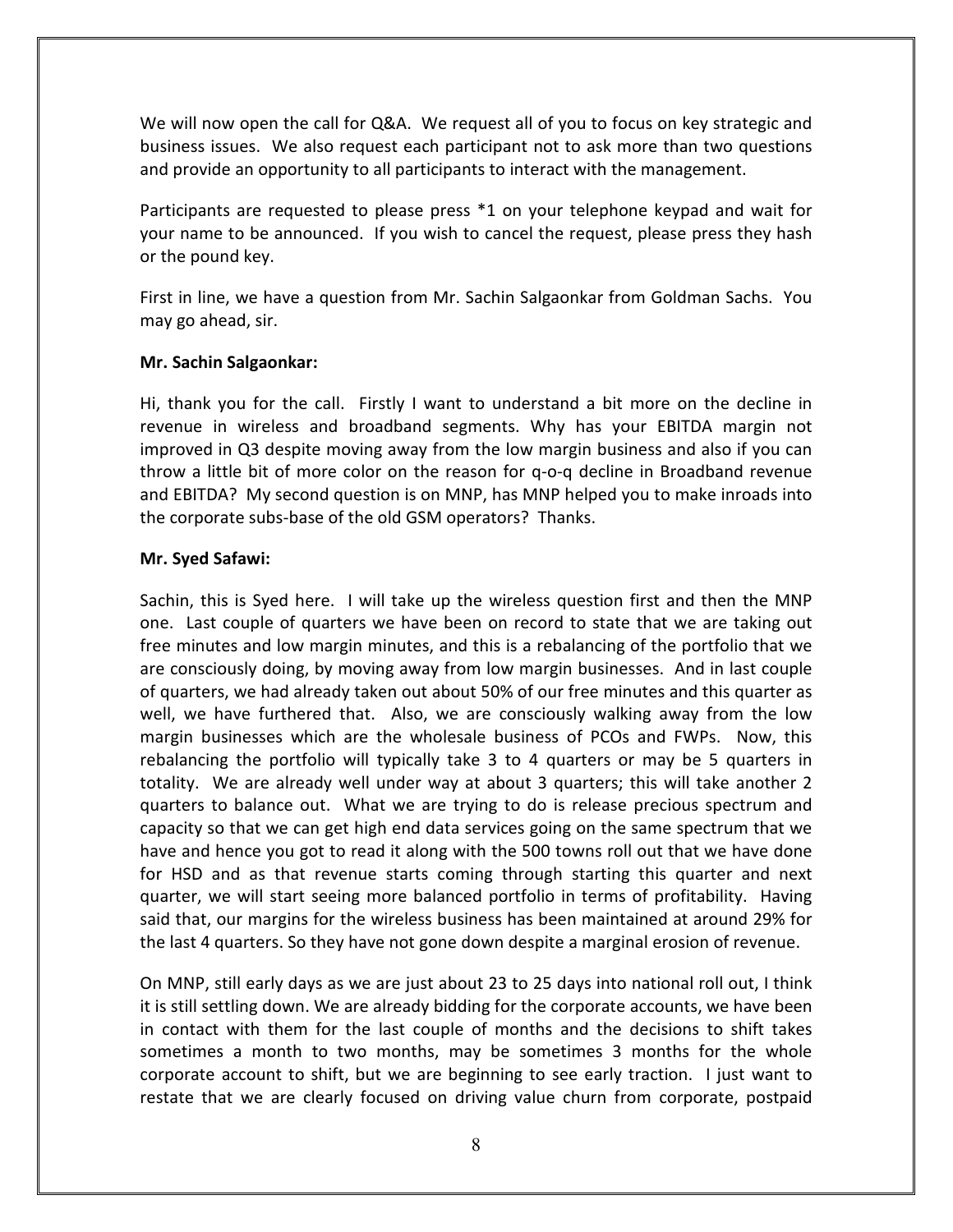We will now open the call for Q&A. We request all of you to focus on key strategic and business issues. We also request each participant not to ask more than two questions and provide an opportunity to all participants to interact with the management.

Participants are requested to please press \*1 on your telephone keypad and wait for your name to be announced. If you wish to cancel the request, please press they hash or the pound key.

First in line, we have a question from Mr. Sachin Salgaonkar from Goldman Sachs. You may go ahead, sir.

## Mr. Sachin Salgaonkar:

Hi, thank you for the call. Firstly I want to understand a bit more on the decline in revenue in wireless and broadband segments. Why has your EBITDA margin not improved in Q3 despite moving away from the low margin business and also if you can throw a little bit of more color on the reason for q-o-q decline in Broadband revenue and EBITDA? My second question is on MNP, has MNP helped you to make inroads into the corporate subs-base of the old GSM operators? Thanks.

## Mr. Syed Safawi:

Sachin, this is Syed here. I will take up the wireless question first and then the MNP one. Last couple of quarters we have been on record to state that we are taking out free minutes and low margin minutes, and this is a rebalancing of the portfolio that we are consciously doing, by moving away from low margin businesses. And in last couple of quarters, we had already taken out about 50% of our free minutes and this quarter as well, we have furthered that. Also, we are consciously walking away from the low margin businesses which are the wholesale business of PCOs and FWPs. Now, this rebalancing the portfolio will typically take 3 to 4 quarters or may be 5 quarters in totality. We are already well under way at about 3 quarters; this will take another 2 quarters to balance out. What we are trying to do is release precious spectrum and capacity so that we can get high end data services going on the same spectrum that we have and hence you got to read it along with the 500 towns roll out that we have done for HSD and as that revenue starts coming through starting this quarter and next quarter, we will start seeing more balanced portfolio in terms of profitability. Having said that, our margins for the wireless business has been maintained at around 29% for the last 4 quarters. So they have not gone down despite a marginal erosion of revenue.

On MNP, still early days as we are just about 23 to 25 days into national roll out, I think it is still settling down. We are already bidding for the corporate accounts, we have been in contact with them for the last couple of months and the decisions to shift takes sometimes a month to two months, may be sometimes 3 months for the whole corporate account to shift, but we are beginning to see early traction. I just want to restate that we are clearly focused on driving value churn from corporate, postpaid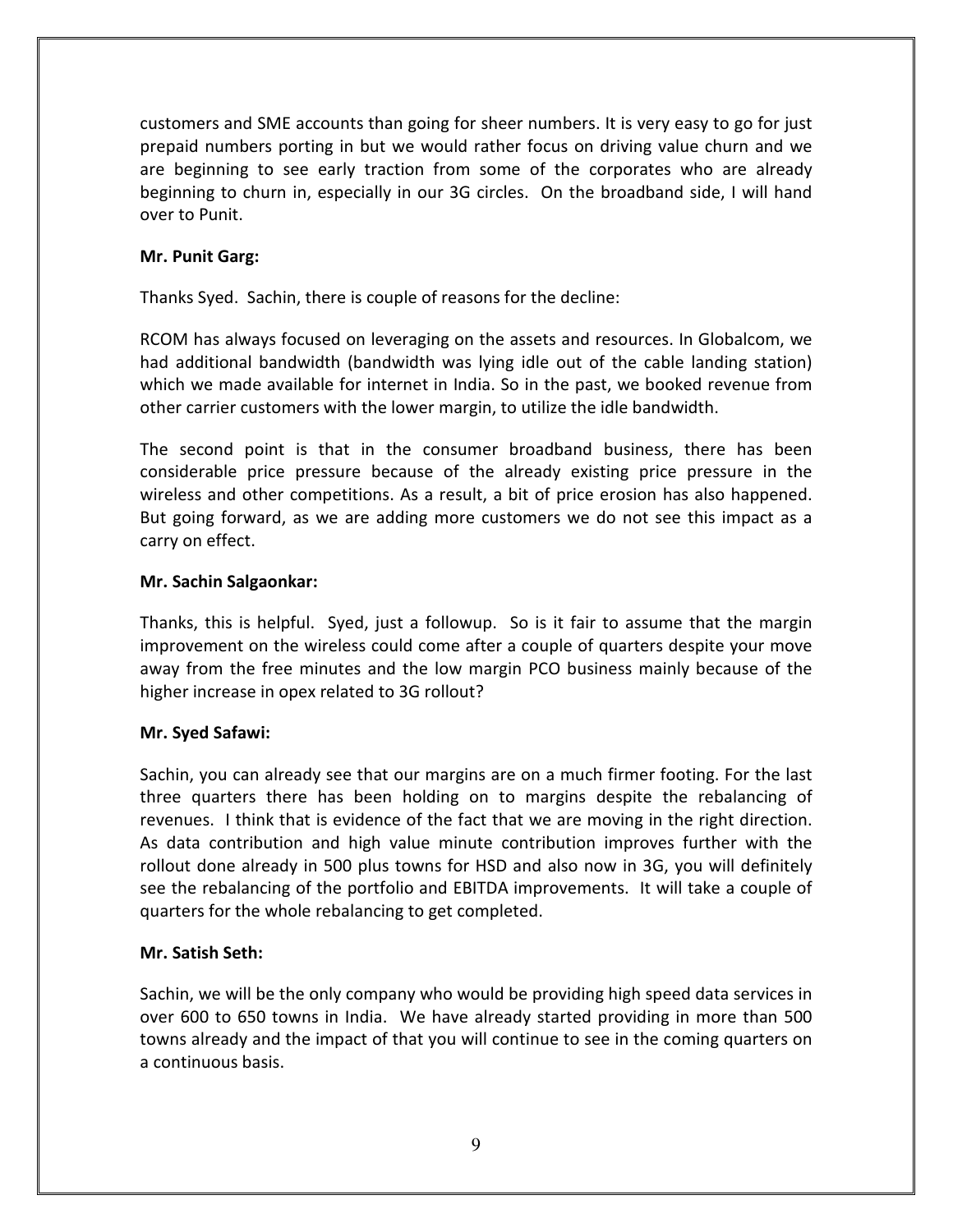customers and SME accounts than going for sheer numbers. It is very easy to go for just prepaid numbers porting in but we would rather focus on driving value churn and we are beginning to see early traction from some of the corporates who are already beginning to churn in, especially in our 3G circles. On the broadband side, I will hand over to Punit.

# Mr. Punit Garg:

Thanks Syed. Sachin, there is couple of reasons for the decline:

RCOM has always focused on leveraging on the assets and resources. In Globalcom, we had additional bandwidth (bandwidth was lying idle out of the cable landing station) which we made available for internet in India. So in the past, we booked revenue from other carrier customers with the lower margin, to utilize the idle bandwidth.

The second point is that in the consumer broadband business, there has been considerable price pressure because of the already existing price pressure in the wireless and other competitions. As a result, a bit of price erosion has also happened. But going forward, as we are adding more customers we do not see this impact as a carry on effect.

#### Mr. Sachin Salgaonkar:

Thanks, this is helpful. Syed, just a followup. So is it fair to assume that the margin improvement on the wireless could come after a couple of quarters despite your move away from the free minutes and the low margin PCO business mainly because of the higher increase in opex related to 3G rollout?

#### Mr. Syed Safawi:

Sachin, you can already see that our margins are on a much firmer footing. For the last three quarters there has been holding on to margins despite the rebalancing of revenues. I think that is evidence of the fact that we are moving in the right direction. As data contribution and high value minute contribution improves further with the rollout done already in 500 plus towns for HSD and also now in 3G, you will definitely see the rebalancing of the portfolio and EBITDA improvements. It will take a couple of quarters for the whole rebalancing to get completed.

#### Mr. Satish Seth:

Sachin, we will be the only company who would be providing high speed data services in over 600 to 650 towns in India. We have already started providing in more than 500 towns already and the impact of that you will continue to see in the coming quarters on a continuous basis.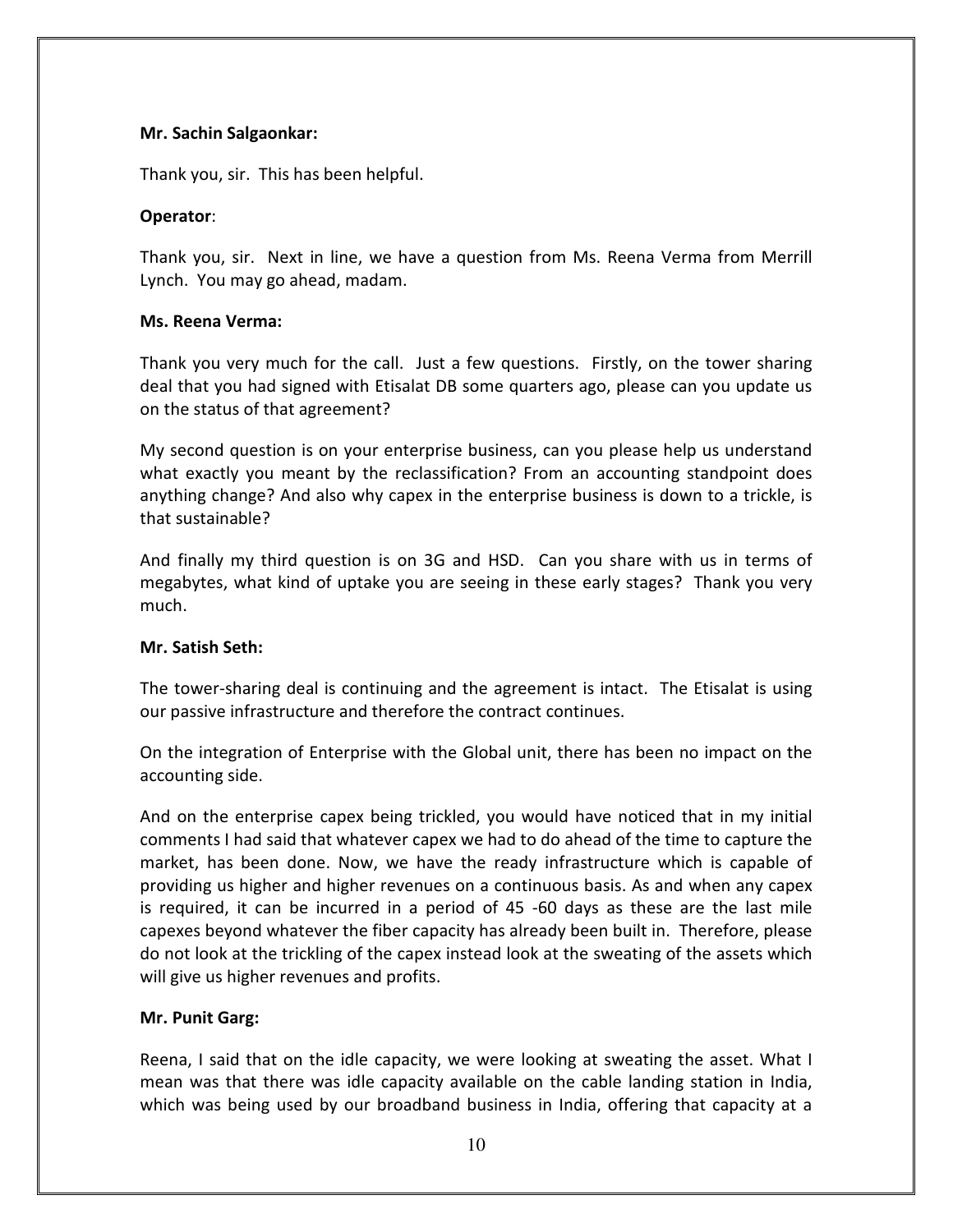## Mr. Sachin Salgaonkar:

Thank you, sir. This has been helpful.

## Operator:

Thank you, sir. Next in line, we have a question from Ms. Reena Verma from Merrill Lynch. You may go ahead, madam.

## Ms. Reena Verma:

Thank you very much for the call. Just a few questions. Firstly, on the tower sharing deal that you had signed with Etisalat DB some quarters ago, please can you update us on the status of that agreement?

My second question is on your enterprise business, can you please help us understand what exactly you meant by the reclassification? From an accounting standpoint does anything change? And also why capex in the enterprise business is down to a trickle, is that sustainable?

And finally my third question is on 3G and HSD. Can you share with us in terms of megabytes, what kind of uptake you are seeing in these early stages? Thank you very much.

# Mr. Satish Seth:

The tower-sharing deal is continuing and the agreement is intact. The Etisalat is using our passive infrastructure and therefore the contract continues.

On the integration of Enterprise with the Global unit, there has been no impact on the accounting side.

And on the enterprise capex being trickled, you would have noticed that in my initial comments I had said that whatever capex we had to do ahead of the time to capture the market, has been done. Now, we have the ready infrastructure which is capable of providing us higher and higher revenues on a continuous basis. As and when any capex is required, it can be incurred in a period of 45 -60 days as these are the last mile capexes beyond whatever the fiber capacity has already been built in. Therefore, please do not look at the trickling of the capex instead look at the sweating of the assets which will give us higher revenues and profits.

# Mr. Punit Garg:

Reena, I said that on the idle capacity, we were looking at sweating the asset. What I mean was that there was idle capacity available on the cable landing station in India, which was being used by our broadband business in India, offering that capacity at a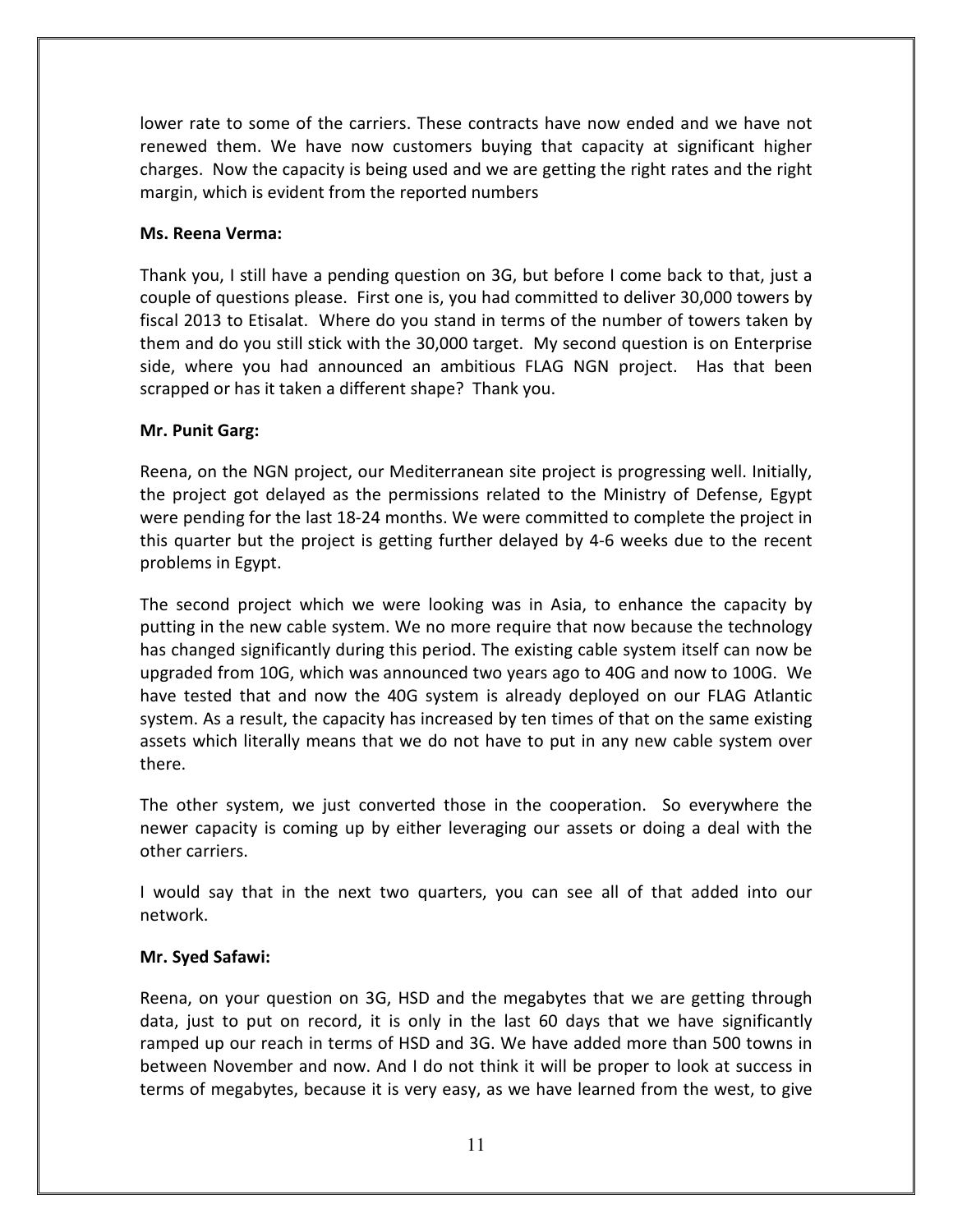lower rate to some of the carriers. These contracts have now ended and we have not renewed them. We have now customers buying that capacity at significant higher charges. Now the capacity is being used and we are getting the right rates and the right margin, which is evident from the reported numbers

#### Ms. Reena Verma:

Thank you, I still have a pending question on 3G, but before I come back to that, just a couple of questions please. First one is, you had committed to deliver 30,000 towers by fiscal 2013 to Etisalat. Where do you stand in terms of the number of towers taken by them and do you still stick with the 30,000 target. My second question is on Enterprise side, where you had announced an ambitious FLAG NGN project. Has that been scrapped or has it taken a different shape? Thank you.

#### Mr. Punit Garg:

Reena, on the NGN project, our Mediterranean site project is progressing well. Initially, the project got delayed as the permissions related to the Ministry of Defense, Egypt were pending for the last 18-24 months. We were committed to complete the project in this quarter but the project is getting further delayed by 4-6 weeks due to the recent problems in Egypt.

The second project which we were looking was in Asia, to enhance the capacity by putting in the new cable system. We no more require that now because the technology has changed significantly during this period. The existing cable system itself can now be upgraded from 10G, which was announced two years ago to 40G and now to 100G. We have tested that and now the 40G system is already deployed on our FLAG Atlantic system. As a result, the capacity has increased by ten times of that on the same existing assets which literally means that we do not have to put in any new cable system over there.

The other system, we just converted those in the cooperation. So everywhere the newer capacity is coming up by either leveraging our assets or doing a deal with the other carriers.

I would say that in the next two quarters, you can see all of that added into our network.

#### Mr. Syed Safawi:

Reena, on your question on 3G, HSD and the megabytes that we are getting through data, just to put on record, it is only in the last 60 days that we have significantly ramped up our reach in terms of HSD and 3G. We have added more than 500 towns in between November and now. And I do not think it will be proper to look at success in terms of megabytes, because it is very easy, as we have learned from the west, to give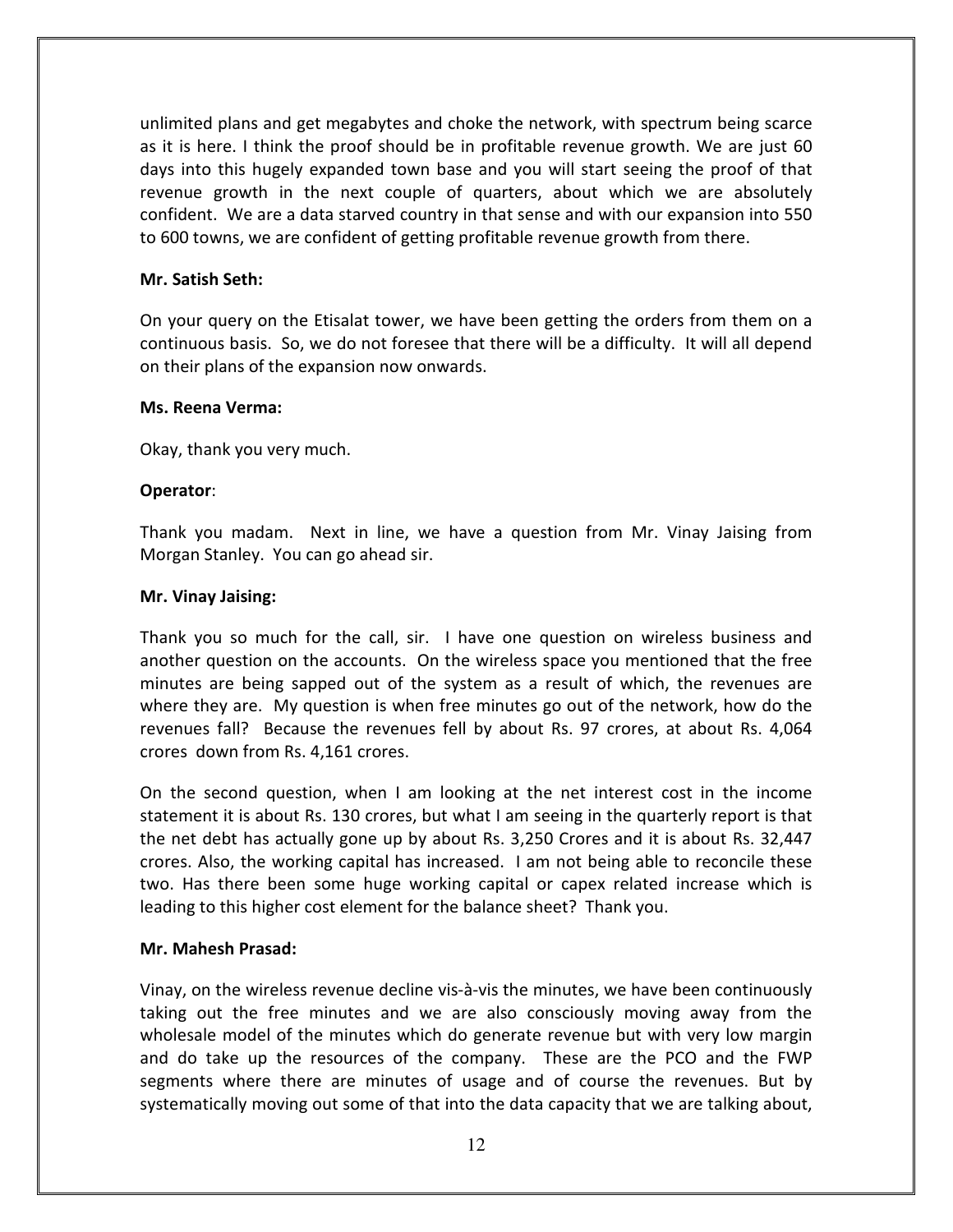unlimited plans and get megabytes and choke the network, with spectrum being scarce as it is here. I think the proof should be in profitable revenue growth. We are just 60 days into this hugely expanded town base and you will start seeing the proof of that revenue growth in the next couple of quarters, about which we are absolutely confident. We are a data starved country in that sense and with our expansion into 550 to 600 towns, we are confident of getting profitable revenue growth from there.

#### Mr. Satish Seth:

On your query on the Etisalat tower, we have been getting the orders from them on a continuous basis. So, we do not foresee that there will be a difficulty. It will all depend on their plans of the expansion now onwards.

#### Ms. Reena Verma:

Okay, thank you very much.

#### Operator:

Thank you madam. Next in line, we have a question from Mr. Vinay Jaising from Morgan Stanley. You can go ahead sir.

#### Mr. Vinay Jaising:

Thank you so much for the call, sir. I have one question on wireless business and another question on the accounts. On the wireless space you mentioned that the free minutes are being sapped out of the system as a result of which, the revenues are where they are. My question is when free minutes go out of the network, how do the revenues fall? Because the revenues fell by about Rs. 97 crores, at about Rs. 4,064 crores down from Rs. 4,161 crores.

On the second question, when I am looking at the net interest cost in the income statement it is about Rs. 130 crores, but what I am seeing in the quarterly report is that the net debt has actually gone up by about Rs. 3,250 Crores and it is about Rs. 32,447 crores. Also, the working capital has increased. I am not being able to reconcile these two. Has there been some huge working capital or capex related increase which is leading to this higher cost element for the balance sheet? Thank you.

#### Mr. Mahesh Prasad:

Vinay, on the wireless revenue decline vis-à-vis the minutes, we have been continuously taking out the free minutes and we are also consciously moving away from the wholesale model of the minutes which do generate revenue but with very low margin and do take up the resources of the company. These are the PCO and the FWP segments where there are minutes of usage and of course the revenues. But by systematically moving out some of that into the data capacity that we are talking about,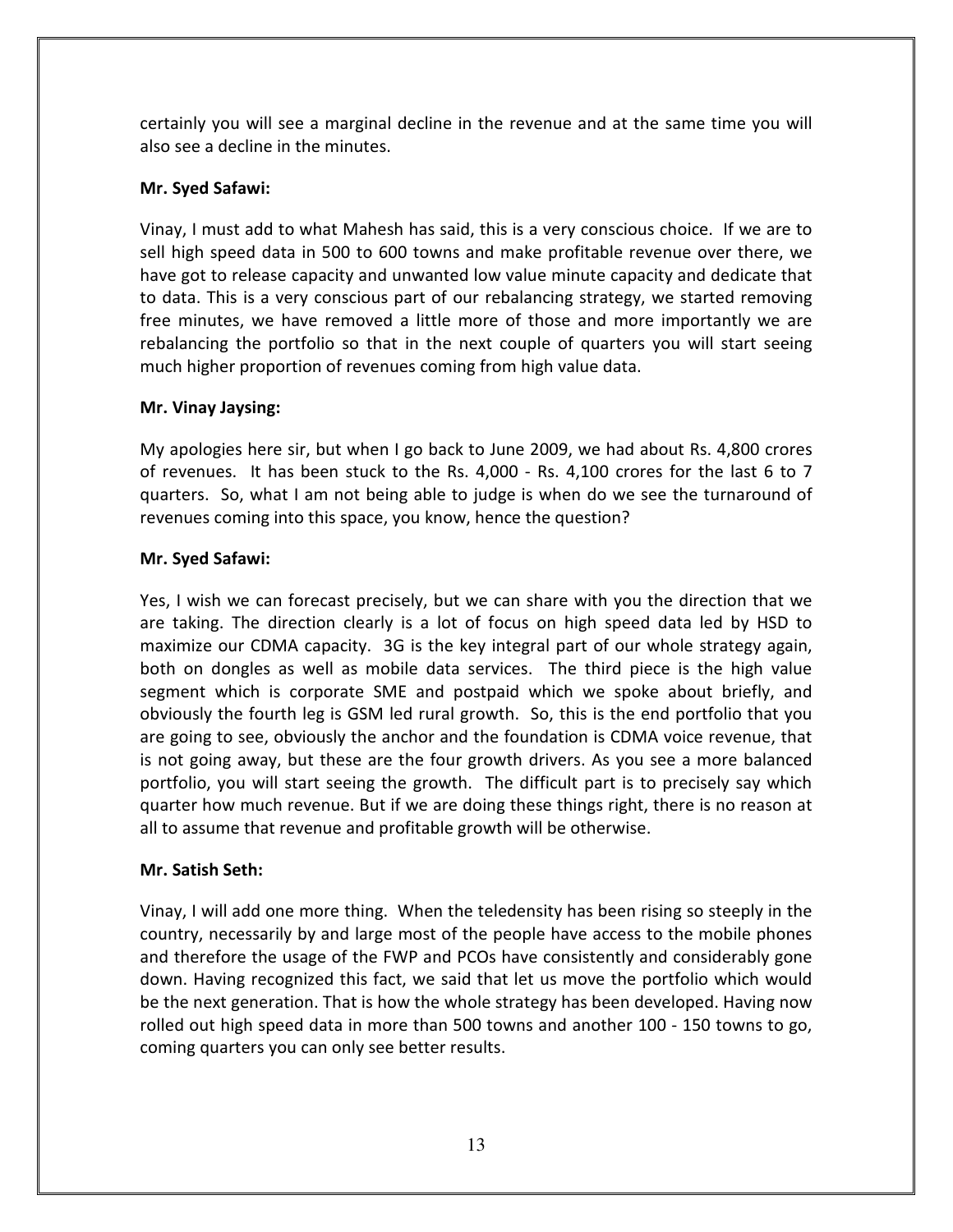certainly you will see a marginal decline in the revenue and at the same time you will also see a decline in the minutes.

# Mr. Syed Safawi:

Vinay, I must add to what Mahesh has said, this is a very conscious choice. If we are to sell high speed data in 500 to 600 towns and make profitable revenue over there, we have got to release capacity and unwanted low value minute capacity and dedicate that to data. This is a very conscious part of our rebalancing strategy, we started removing free minutes, we have removed a little more of those and more importantly we are rebalancing the portfolio so that in the next couple of quarters you will start seeing much higher proportion of revenues coming from high value data.

# Mr. Vinay Jaysing:

My apologies here sir, but when I go back to June 2009, we had about Rs. 4,800 crores of revenues. It has been stuck to the Rs. 4,000 - Rs. 4,100 crores for the last 6 to 7 quarters. So, what I am not being able to judge is when do we see the turnaround of revenues coming into this space, you know, hence the question?

# Mr. Syed Safawi:

Yes, I wish we can forecast precisely, but we can share with you the direction that we are taking. The direction clearly is a lot of focus on high speed data led by HSD to maximize our CDMA capacity. 3G is the key integral part of our whole strategy again, both on dongles as well as mobile data services. The third piece is the high value segment which is corporate SME and postpaid which we spoke about briefly, and obviously the fourth leg is GSM led rural growth. So, this is the end portfolio that you are going to see, obviously the anchor and the foundation is CDMA voice revenue, that is not going away, but these are the four growth drivers. As you see a more balanced portfolio, you will start seeing the growth. The difficult part is to precisely say which quarter how much revenue. But if we are doing these things right, there is no reason at all to assume that revenue and profitable growth will be otherwise.

# Mr. Satish Seth:

Vinay, I will add one more thing. When the teledensity has been rising so steeply in the country, necessarily by and large most of the people have access to the mobile phones and therefore the usage of the FWP and PCOs have consistently and considerably gone down. Having recognized this fact, we said that let us move the portfolio which would be the next generation. That is how the whole strategy has been developed. Having now rolled out high speed data in more than 500 towns and another 100 - 150 towns to go, coming quarters you can only see better results.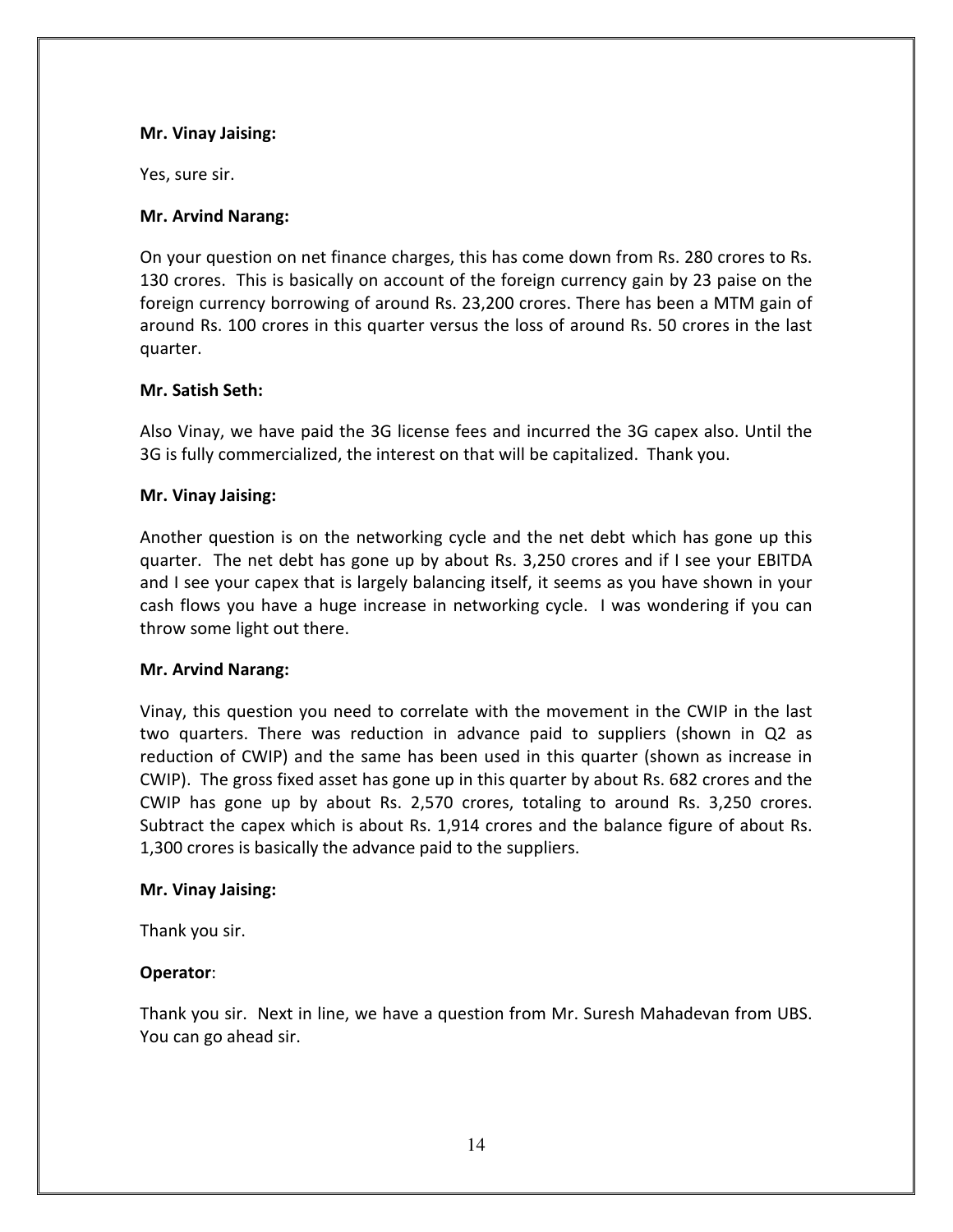#### Mr. Vinay Jaising:

Yes, sure sir.

#### Mr. Arvind Narang:

On your question on net finance charges, this has come down from Rs. 280 crores to Rs. 130 crores. This is basically on account of the foreign currency gain by 23 paise on the foreign currency borrowing of around Rs. 23,200 crores. There has been a MTM gain of around Rs. 100 crores in this quarter versus the loss of around Rs. 50 crores in the last quarter.

#### Mr. Satish Seth:

Also Vinay, we have paid the 3G license fees and incurred the 3G capex also. Until the 3G is fully commercialized, the interest on that will be capitalized. Thank you.

#### Mr. Vinay Jaising:

Another question is on the networking cycle and the net debt which has gone up this quarter. The net debt has gone up by about Rs. 3,250 crores and if I see your EBITDA and I see your capex that is largely balancing itself, it seems as you have shown in your cash flows you have a huge increase in networking cycle. I was wondering if you can throw some light out there.

#### Mr. Arvind Narang:

Vinay, this question you need to correlate with the movement in the CWIP in the last two quarters. There was reduction in advance paid to suppliers (shown in Q2 as reduction of CWIP) and the same has been used in this quarter (shown as increase in CWIP). The gross fixed asset has gone up in this quarter by about Rs. 682 crores and the CWIP has gone up by about Rs. 2,570 crores, totaling to around Rs. 3,250 crores. Subtract the capex which is about Rs. 1,914 crores and the balance figure of about Rs. 1,300 crores is basically the advance paid to the suppliers.

#### Mr. Vinay Jaising:

Thank you sir.

#### Operator:

Thank you sir. Next in line, we have a question from Mr. Suresh Mahadevan from UBS. You can go ahead sir.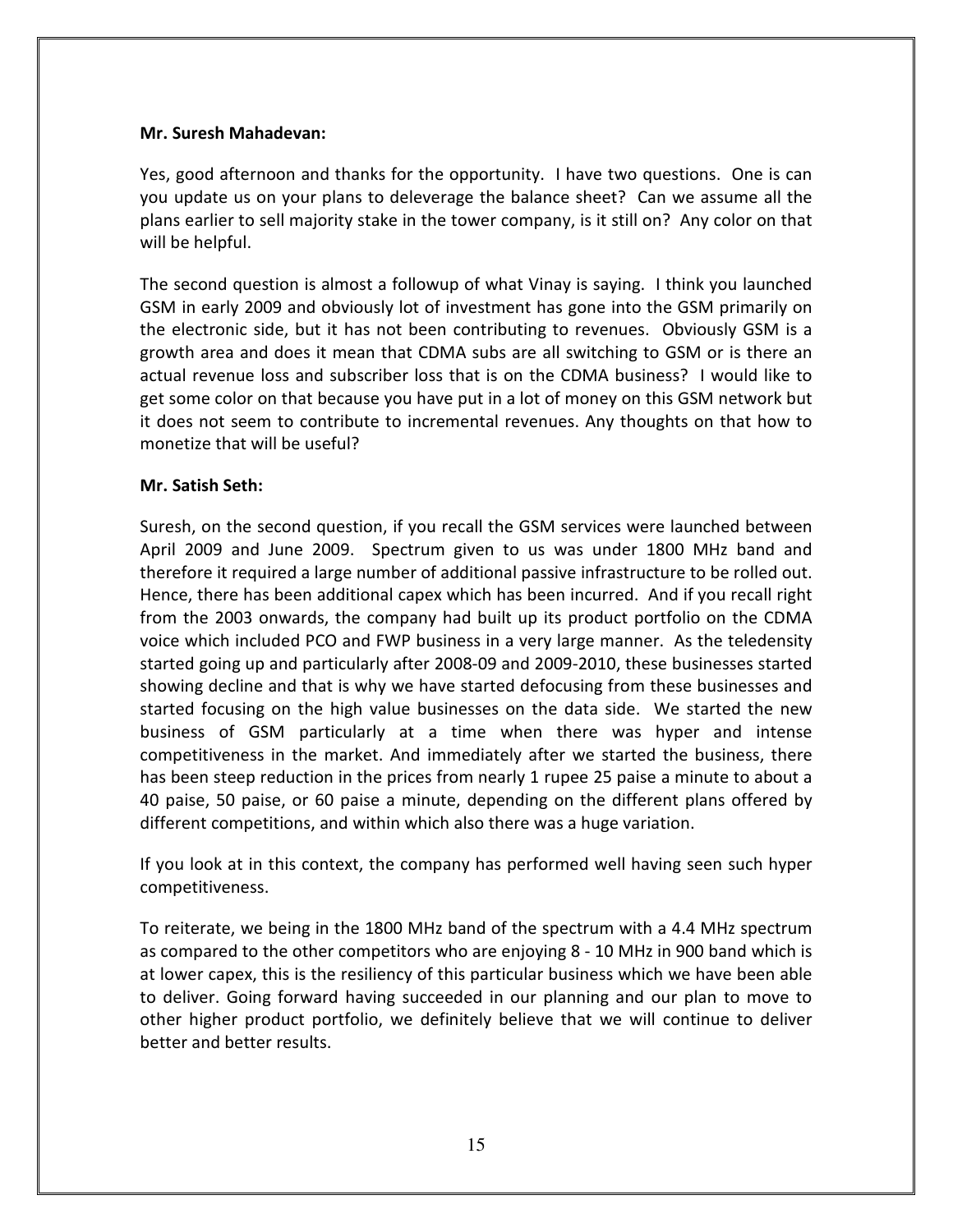#### Mr. Suresh Mahadevan:

Yes, good afternoon and thanks for the opportunity. I have two questions. One is can you update us on your plans to deleverage the balance sheet? Can we assume all the plans earlier to sell majority stake in the tower company, is it still on? Any color on that will be helpful.

The second question is almost a followup of what Vinay is saying. I think you launched GSM in early 2009 and obviously lot of investment has gone into the GSM primarily on the electronic side, but it has not been contributing to revenues. Obviously GSM is a growth area and does it mean that CDMA subs are all switching to GSM or is there an actual revenue loss and subscriber loss that is on the CDMA business? I would like to get some color on that because you have put in a lot of money on this GSM network but it does not seem to contribute to incremental revenues. Any thoughts on that how to monetize that will be useful?

## Mr. Satish Seth:

Suresh, on the second question, if you recall the GSM services were launched between April 2009 and June 2009. Spectrum given to us was under 1800 MHz band and therefore it required a large number of additional passive infrastructure to be rolled out. Hence, there has been additional capex which has been incurred. And if you recall right from the 2003 onwards, the company had built up its product portfolio on the CDMA voice which included PCO and FWP business in a very large manner. As the teledensity started going up and particularly after 2008-09 and 2009-2010, these businesses started showing decline and that is why we have started defocusing from these businesses and started focusing on the high value businesses on the data side. We started the new business of GSM particularly at a time when there was hyper and intense competitiveness in the market. And immediately after we started the business, there has been steep reduction in the prices from nearly 1 rupee 25 paise a minute to about a 40 paise, 50 paise, or 60 paise a minute, depending on the different plans offered by different competitions, and within which also there was a huge variation.

If you look at in this context, the company has performed well having seen such hyper competitiveness.

To reiterate, we being in the 1800 MHz band of the spectrum with a 4.4 MHz spectrum as compared to the other competitors who are enjoying 8 - 10 MHz in 900 band which is at lower capex, this is the resiliency of this particular business which we have been able to deliver. Going forward having succeeded in our planning and our plan to move to other higher product portfolio, we definitely believe that we will continue to deliver better and better results.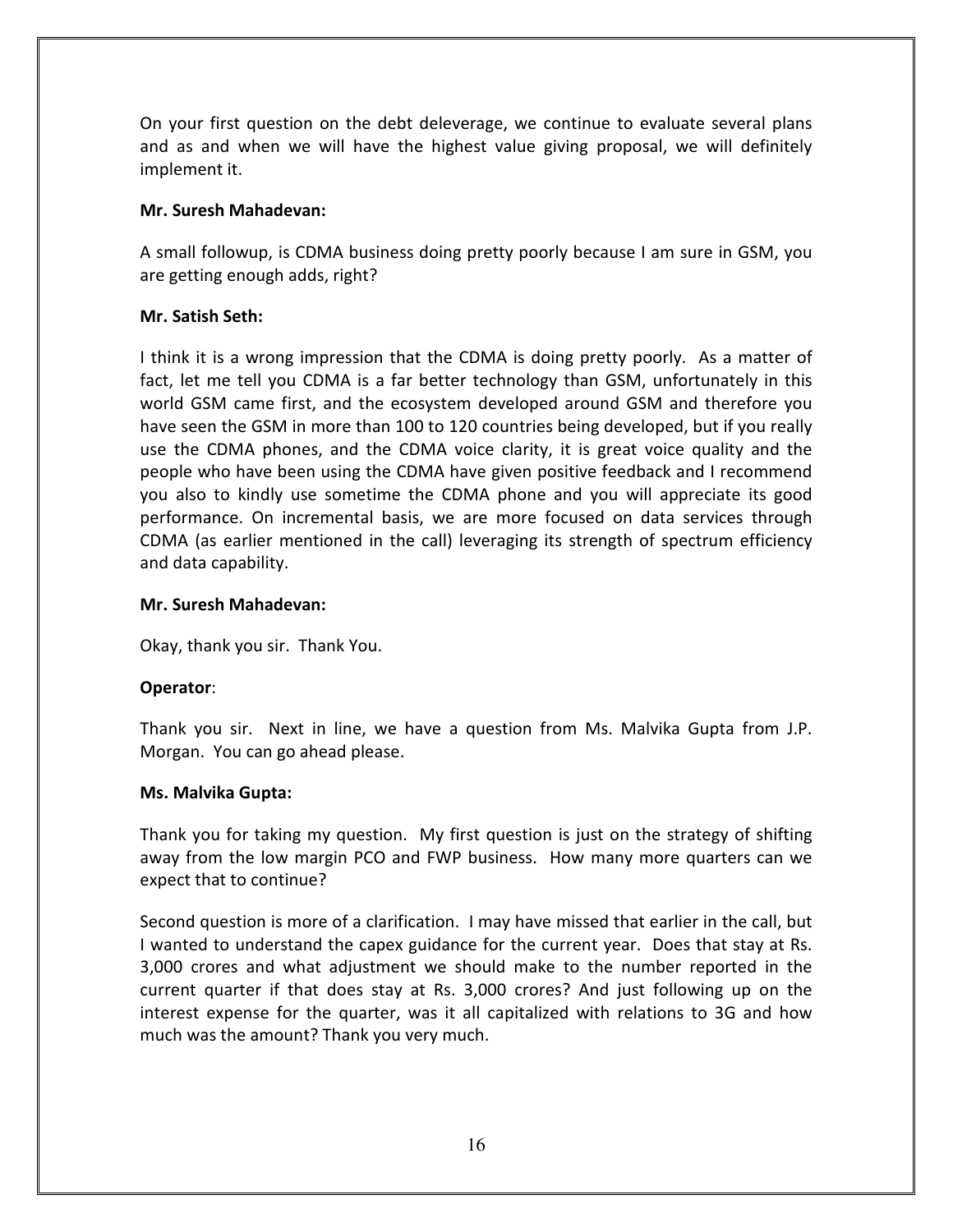On your first question on the debt deleverage, we continue to evaluate several plans and as and when we will have the highest value giving proposal, we will definitely implement it.

## Mr. Suresh Mahadevan:

A small followup, is CDMA business doing pretty poorly because I am sure in GSM, you are getting enough adds, right?

## Mr. Satish Seth:

I think it is a wrong impression that the CDMA is doing pretty poorly. As a matter of fact, let me tell you CDMA is a far better technology than GSM, unfortunately in this world GSM came first, and the ecosystem developed around GSM and therefore you have seen the GSM in more than 100 to 120 countries being developed, but if you really use the CDMA phones, and the CDMA voice clarity, it is great voice quality and the people who have been using the CDMA have given positive feedback and I recommend you also to kindly use sometime the CDMA phone and you will appreciate its good performance. On incremental basis, we are more focused on data services through CDMA (as earlier mentioned in the call) leveraging its strength of spectrum efficiency and data capability.

#### Mr. Suresh Mahadevan:

Okay, thank you sir. Thank You.

#### Operator:

Thank you sir. Next in line, we have a question from Ms. Malvika Gupta from J.P. Morgan. You can go ahead please.

#### Ms. Malvika Gupta:

Thank you for taking my question. My first question is just on the strategy of shifting away from the low margin PCO and FWP business. How many more quarters can we expect that to continue?

Second question is more of a clarification. I may have missed that earlier in the call, but I wanted to understand the capex guidance for the current year. Does that stay at Rs. 3,000 crores and what adjustment we should make to the number reported in the current quarter if that does stay at Rs. 3,000 crores? And just following up on the interest expense for the quarter, was it all capitalized with relations to 3G and how much was the amount? Thank you very much.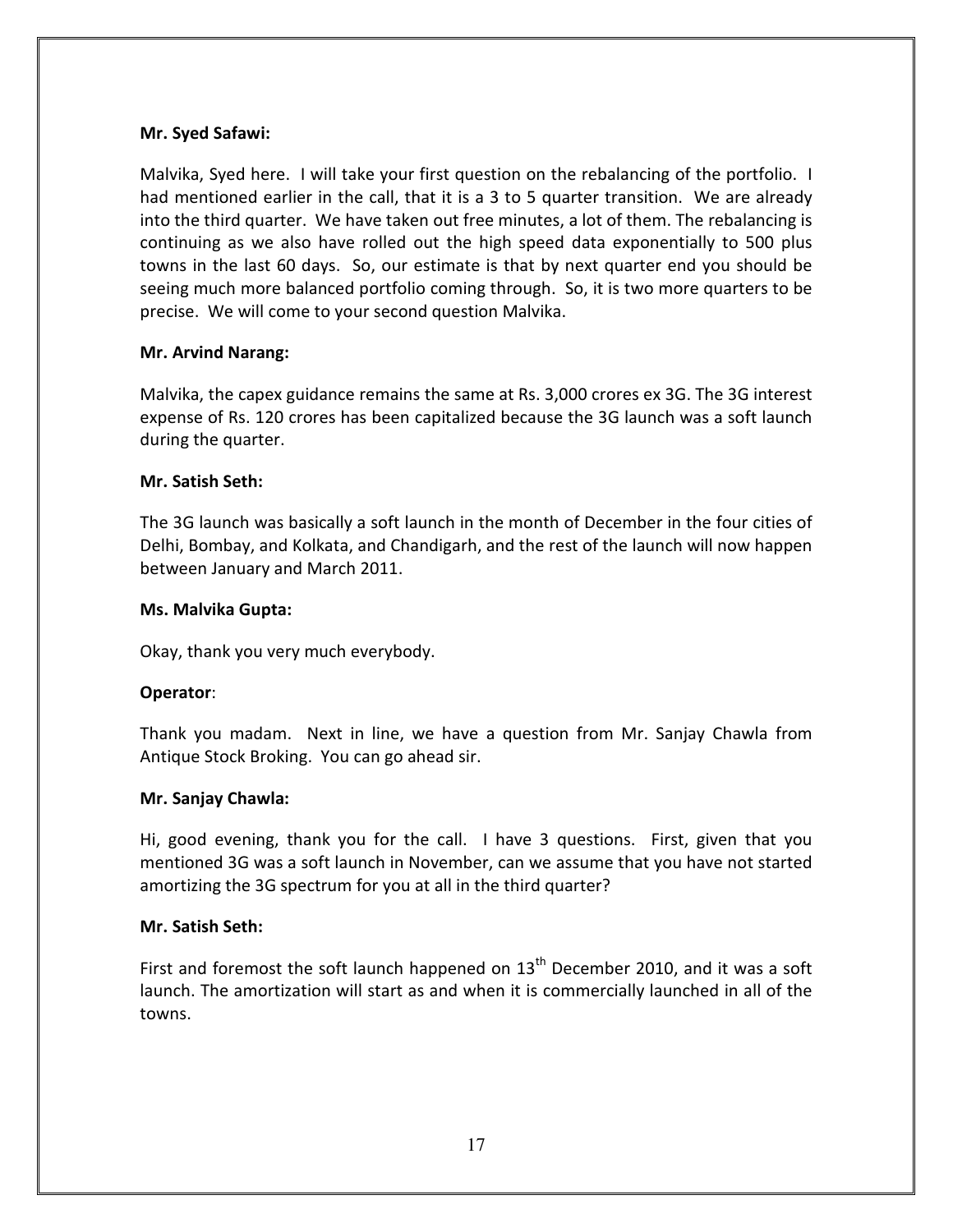## Mr. Syed Safawi:

Malvika, Syed here. I will take your first question on the rebalancing of the portfolio. I had mentioned earlier in the call, that it is a 3 to 5 quarter transition. We are already into the third quarter. We have taken out free minutes, a lot of them. The rebalancing is continuing as we also have rolled out the high speed data exponentially to 500 plus towns in the last 60 days. So, our estimate is that by next quarter end you should be seeing much more balanced portfolio coming through. So, it is two more quarters to be precise. We will come to your second question Malvika.

## Mr. Arvind Narang:

Malvika, the capex guidance remains the same at Rs. 3,000 crores ex 3G. The 3G interest expense of Rs. 120 crores has been capitalized because the 3G launch was a soft launch during the quarter.

## Mr. Satish Seth:

The 3G launch was basically a soft launch in the month of December in the four cities of Delhi, Bombay, and Kolkata, and Chandigarh, and the rest of the launch will now happen between January and March 2011.

#### Ms. Malvika Gupta:

Okay, thank you very much everybody.

#### Operator:

Thank you madam. Next in line, we have a question from Mr. Sanjay Chawla from Antique Stock Broking. You can go ahead sir.

#### Mr. Sanjay Chawla:

Hi, good evening, thank you for the call. I have 3 questions. First, given that you mentioned 3G was a soft launch in November, can we assume that you have not started amortizing the 3G spectrum for you at all in the third quarter?

#### Mr. Satish Seth:

First and foremost the soft launch happened on  $13<sup>th</sup>$  December 2010, and it was a soft launch. The amortization will start as and when it is commercially launched in all of the towns.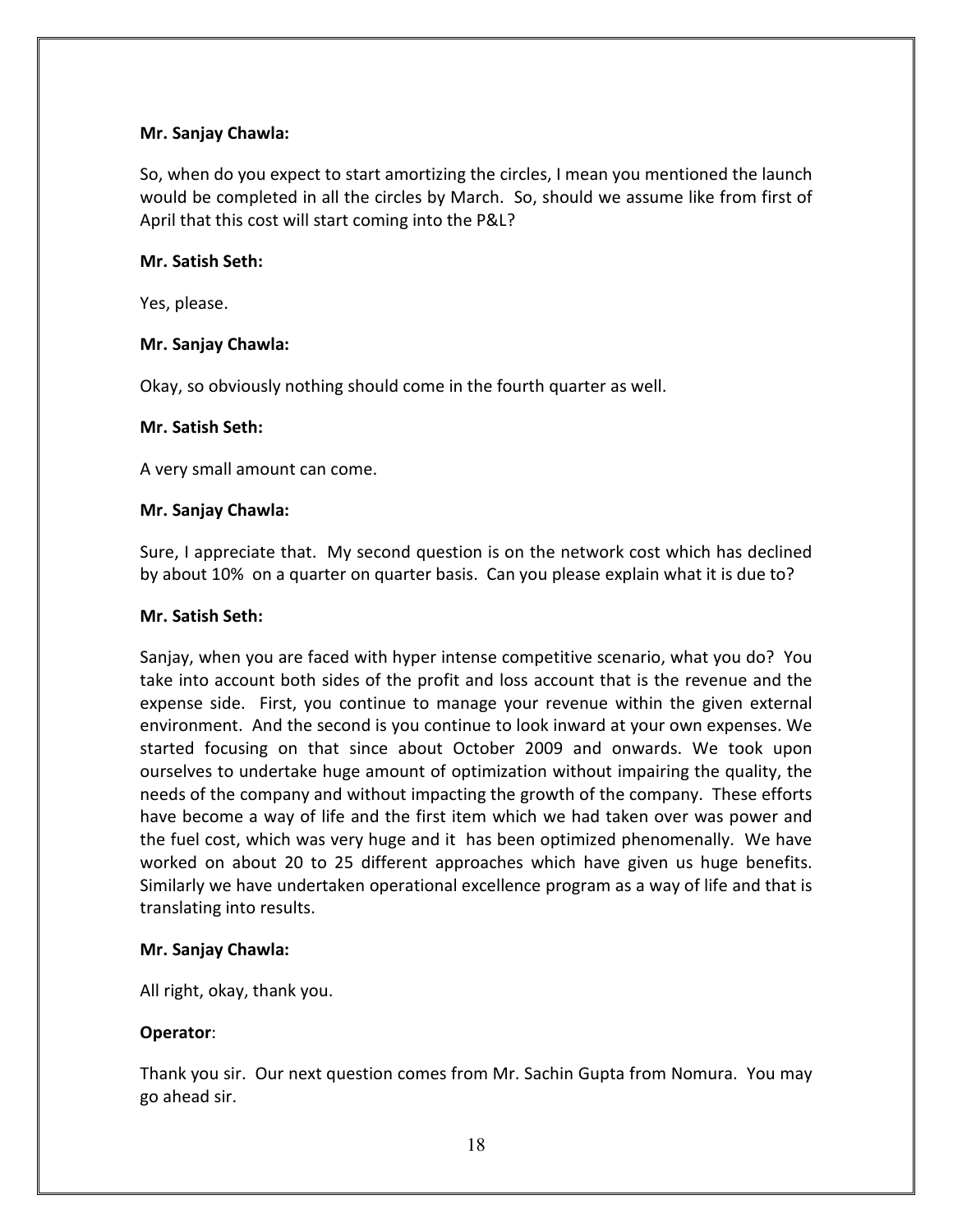## Mr. Sanjay Chawla:

So, when do you expect to start amortizing the circles, I mean you mentioned the launch would be completed in all the circles by March. So, should we assume like from first of April that this cost will start coming into the P&L?

#### Mr. Satish Seth:

Yes, please.

## Mr. Sanjay Chawla:

Okay, so obviously nothing should come in the fourth quarter as well.

#### Mr. Satish Seth:

A very small amount can come.

## Mr. Sanjay Chawla:

Sure, I appreciate that. My second question is on the network cost which has declined by about 10% on a quarter on quarter basis. Can you please explain what it is due to?

#### Mr. Satish Seth:

Sanjay, when you are faced with hyper intense competitive scenario, what you do? You take into account both sides of the profit and loss account that is the revenue and the expense side. First, you continue to manage your revenue within the given external environment. And the second is you continue to look inward at your own expenses. We started focusing on that since about October 2009 and onwards. We took upon ourselves to undertake huge amount of optimization without impairing the quality, the needs of the company and without impacting the growth of the company. These efforts have become a way of life and the first item which we had taken over was power and the fuel cost, which was very huge and it has been optimized phenomenally. We have worked on about 20 to 25 different approaches which have given us huge benefits. Similarly we have undertaken operational excellence program as a way of life and that is translating into results.

#### Mr. Sanjay Chawla:

All right, okay, thank you.

# Operator:

Thank you sir. Our next question comes from Mr. Sachin Gupta from Nomura. You may go ahead sir.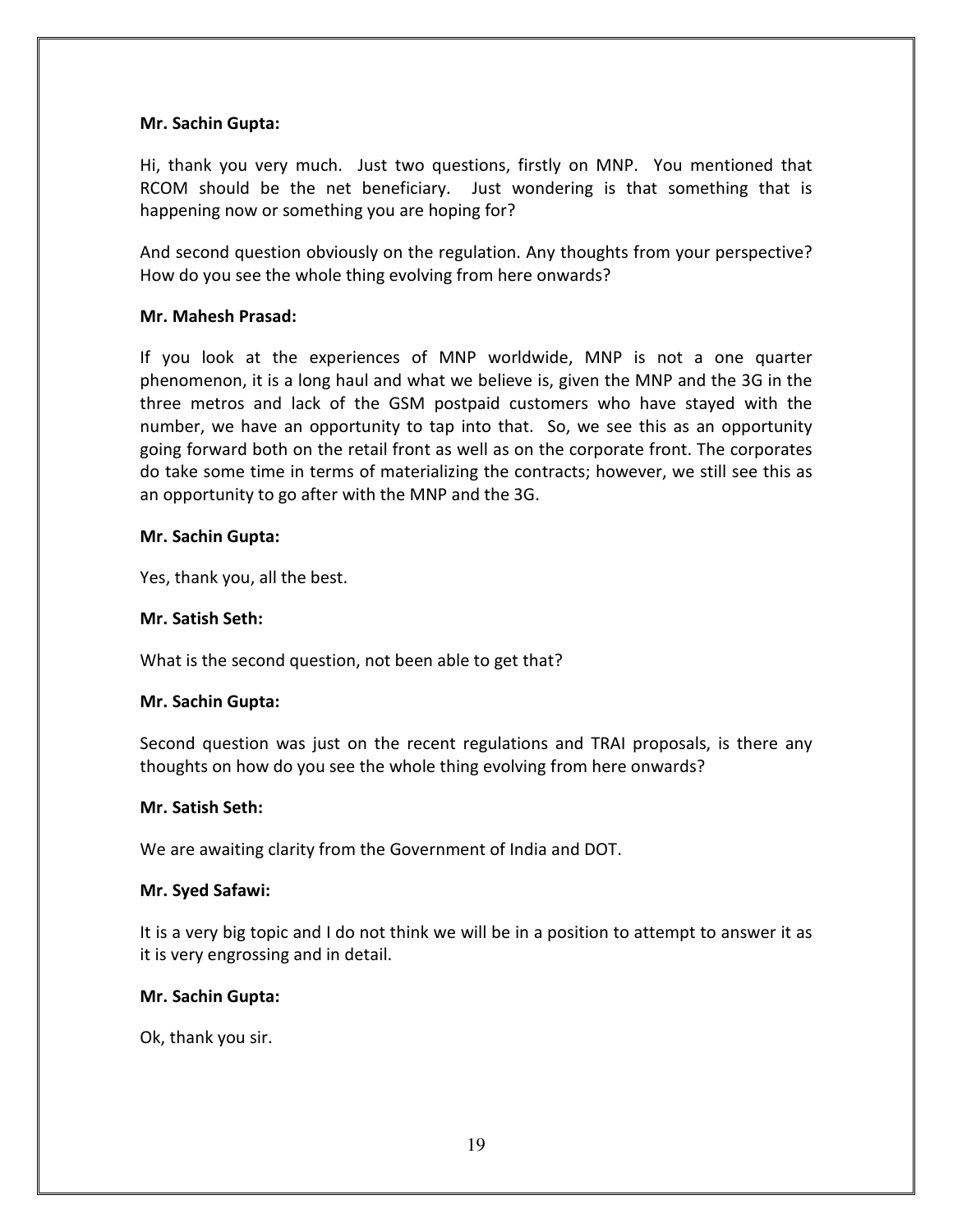#### Mr. Sachin Gupta:

Hi, thank you very much. Just two questions, firstly on MNP. You mentioned that RCOM should be the net beneficiary. Just wondering is that something that is happening now or something you are hoping for?

And second question obviously on the regulation. Any thoughts from your perspective? How do you see the whole thing evolving from here onwards?

#### Mr. Mahesh Prasad:

If you look at the experiences of MNP worldwide, MNP is not a one quarter phenomenon, it is a long haul and what we believe is, given the MNP and the 3G in the three metros and lack of the GSM postpaid customers who have stayed with the number, we have an opportunity to tap into that. So, we see this as an opportunity going forward both on the retail front as well as on the corporate front. The corporates do take some time in terms of materializing the contracts; however, we still see this as an opportunity to go after with the MNP and the 3G.

#### Mr. Sachin Gupta:

Yes, thank you, all the best.

#### Mr. Satish Seth:

What is the second question, not been able to get that?

#### Mr. Sachin Gupta:

Second question was just on the recent regulations and TRAI proposals, is there any thoughts on how do you see the whole thing evolving from here onwards?

#### Mr. Satish Seth:

We are awaiting clarity from the Government of India and DOT.

#### Mr. Syed Safawi:

It is a very big topic and I do not think we will be in a position to attempt to answer it as it is very engrossing and in detail.

#### Mr. Sachin Gupta:

Ok, thank you sir.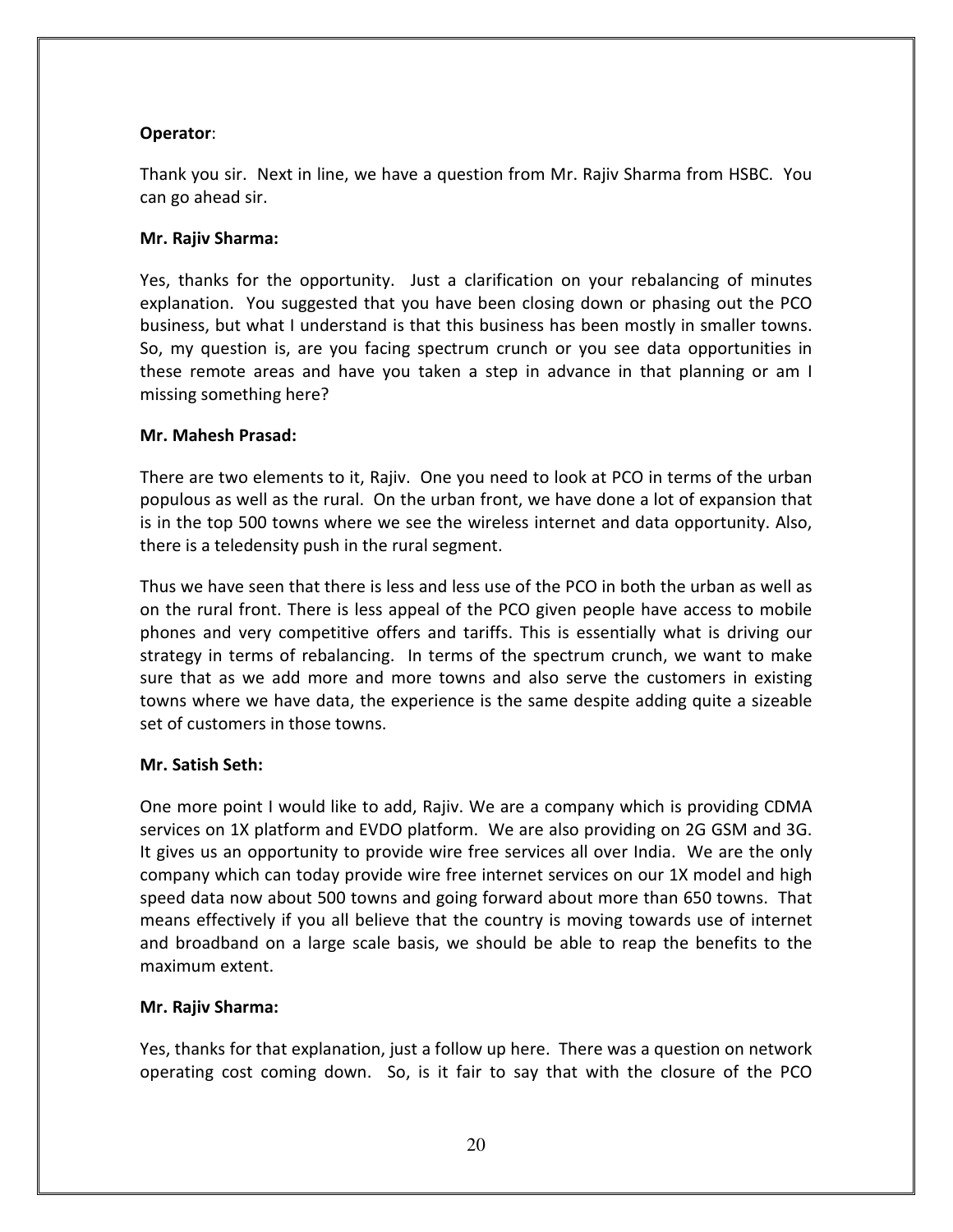# Operator:

Thank you sir. Next in line, we have a question from Mr. Rajiv Sharma from HSBC. You can go ahead sir.

## Mr. Rajiv Sharma:

Yes, thanks for the opportunity. Just a clarification on your rebalancing of minutes explanation. You suggested that you have been closing down or phasing out the PCO business, but what I understand is that this business has been mostly in smaller towns. So, my question is, are you facing spectrum crunch or you see data opportunities in these remote areas and have you taken a step in advance in that planning or am I missing something here?

## Mr. Mahesh Prasad:

There are two elements to it, Rajiv. One you need to look at PCO in terms of the urban populous as well as the rural. On the urban front, we have done a lot of expansion that is in the top 500 towns where we see the wireless internet and data opportunity. Also, there is a teledensity push in the rural segment.

Thus we have seen that there is less and less use of the PCO in both the urban as well as on the rural front. There is less appeal of the PCO given people have access to mobile phones and very competitive offers and tariffs. This is essentially what is driving our strategy in terms of rebalancing. In terms of the spectrum crunch, we want to make sure that as we add more and more towns and also serve the customers in existing towns where we have data, the experience is the same despite adding quite a sizeable set of customers in those towns.

# Mr. Satish Seth:

One more point I would like to add, Rajiv. We are a company which is providing CDMA services on 1X platform and EVDO platform. We are also providing on 2G GSM and 3G. It gives us an opportunity to provide wire free services all over India. We are the only company which can today provide wire free internet services on our 1X model and high speed data now about 500 towns and going forward about more than 650 towns. That means effectively if you all believe that the country is moving towards use of internet and broadband on a large scale basis, we should be able to reap the benefits to the maximum extent.

#### Mr. Rajiv Sharma:

Yes, thanks for that explanation, just a follow up here. There was a question on network operating cost coming down. So, is it fair to say that with the closure of the PCO